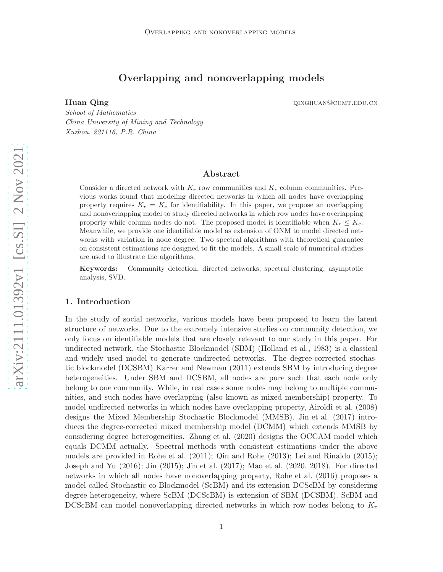# Overlapping and nonoverlapping models

Huan Qing diagram and the set of the control of the quantum quantum quantum  $\mathbf{Qu}$  quantum quantum  $\mathbf{Qu}$ 

*School of Mathematics China University of Mining and Technology Xuzhou, 221116, P.R. China*

## Abstract

Consider a directed network with  $K_r$  row communities and  $K_c$  column communities. Previous works found that modeling directed networks in which all nodes have overlapping property requires  $K_r = K_c$  for identifiability. In this paper, we propose an overlapping and nonoverlapping model to study directed networks in which row nodes have overlapping property while column nodes do not. The proposed model is identifiable when  $K_r \leq K_c$ . Meanwhile, we provide one identifiable model as extension of ONM to model directed networks with variation in node degree. Two spectral algorithms with theoretical guarantee on consistent estimations are designed to fit the models. A small scale of numerical studies are used to illustrate the algorithms.

Keywords: Community detection, directed networks, spectral clustering, asymptotic analysis, SVD.

## 1. Introduction

In the study of social networks, various models have been proposed to learn the latent structure of networks. Due to the extremely intensive studies on community detection, we only focus on identifiable models that are closely relevant to our study in this paper. For undirected network, the Stochastic Blockmodel (SBM) [\(Holland et al., 1983\)](#page-24-0) is a classical and widely used model to generate undirected networks. The degree-corrected stochastic blockmodel (DCSBM) [Karrer and Newman \(2011](#page-24-1)) extends SBM by introducing degree heterogeneities. Under SBM and DCSBM, all nodes are pure such that each node only belong to one community. While, in real cases some nodes may belong to multiple communities, and such nodes have overlapping (also known as mixed membership) property. To model undirected networks in which nodes have overlapping property, [Airoldi et al. \(2008](#page-24-2)) designs the Mixed Membership Stochastic Blockmodel (MMSB). [Jin et al. \(2017](#page-24-3)) introduces the degree-corrected mixed membership model (DCMM) which extends MMSB by considering degree heterogeneities. [Zhang et al. \(2020](#page-25-0)) designs the OCCAM model which equals DCMM actually. Spectral methods with consistent estimations under the above models are provided in [Rohe et al. \(2011](#page-25-1)); [Qin and Rohe \(2013](#page-24-4)); [Lei and Rinaldo \(2015](#page-24-5)); [Joseph and Yu \(2016](#page-24-6)); [Jin \(2015\)](#page-24-7); [Jin et al. \(2017\)](#page-24-3); [Mao et al.](#page-24-8) [\(2020](#page-24-8), [2018](#page-24-9)). For directed networks in which all nodes have nonoverlapping property, [Rohe et al. \(2016](#page-25-2)) proposes a model called Stochastic co-Blockmodel (ScBM) and its extension DCScBM by considering degree heterogeneity, where ScBM (DCScBM) is extension of SBM (DCSBM). ScBM and DCScBM can model nonoverlapping directed networks in which row nodes belong to  $K_r$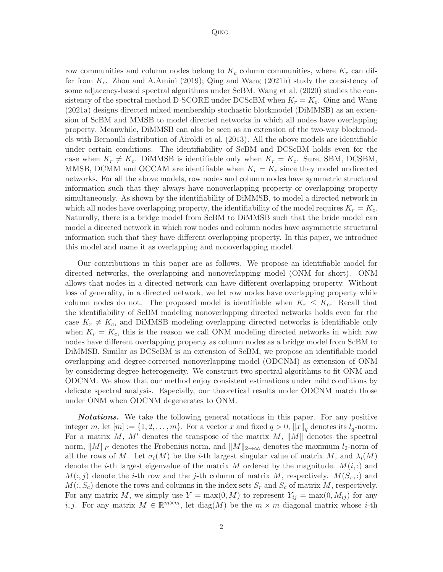row communities and column nodes belong to  $K_c$  column communities, where  $K_r$  can differ from  $K_c$ . [Zhou and A.Amini \(2019\)](#page-25-3); [Qing and Wang \(2021b](#page-25-4)) study the consistency of some adjacency-based spectral algorithms under ScBM. [Wang](#page-25-5) et al. [\(2020](#page-25-5)) studies the consistency of the spectral method D-SCORE under DCScBM when  $K_r = K_c$ . [Qing and Wang](#page-25-6) [\(2021a](#page-25-6)) designs directed mixed membership stochastic blockmodel (DiMMSB) as an extension of ScBM and MMSB to model directed networks in which all nodes have overlapping property. Meanwhile, DiMMSB can also be seen as an extension of the two-way blockmodels with Bernoulli distribution of [Airoldi et al. \(2013](#page-24-10)). All the above models are identifiable under certain conditions. The identifiability of ScBM and DCScBM holds even for the case when  $K_r \neq K_c$ . DiMMSB is identifiable only when  $K_r = K_c$ . Sure, SBM, DCSBM, MMSB, DCMM and OCCAM are identifiable when  $K_r = K_c$  since they model undirected networks. For all the above models, row nodes and column nodes have symmetric structural information such that they always have nonoverlapping property or overlapping property simultaneously. As shown by the identifiability of DiMMSB, to model a directed network in which all nodes have overlapping property, the identifiability of the model requires  $K_r = K_c$ . Naturally, there is a bridge model from ScBM to DiMMSB such that the bride model can model a directed network in which row nodes and column nodes have asymmetric structural information such that they have different overlapping property. In this paper, we introduce this model and name it as overlapping and nonoverlapping model.

Our contributions in this paper are as follows. We propose an identifiable model for directed networks, the overlapping and nonoverlapping model (ONM for short). ONM allows that nodes in a directed network can have different overlapping property. Without loss of generality, in a directed network, we let row nodes have overlapping property while column nodes do not. The proposed model is identifiable when  $K_r \leq K_c$ . Recall that the identifiability of ScBM modeling nonoverlapping directed networks holds even for the case  $K_r \neq K_c$ , and DiMMSB modeling overlapping directed networks is identifiable only when  $K_r = K_c$ , this is the reason we call ONM modeling directed networks in which row nodes have different overlapping property as column nodes as a bridge model from ScBM to DiMMSB. Similar as DCScBM is an extension of ScBM, we propose an identifiable model overlapping and degree-corrected nonoverlapping model (ODCNM) as extension of ONM by considering degree heterogeneity. We construct two spectral algorithms to fit ONM and ODCNM. We show that our method enjoy consistent estimations under mild conditions by delicate spectral analysis. Especially, our theoretical results under ODCNM match those under ONM when ODCNM degenerates to ONM.

**Notations.** We take the following general notations in this paper. For any positive integer m, let  $[m] := \{1, 2, \ldots, m\}$ . For a vector x and fixed  $q > 0$ ,  $||x||_q$  denotes its  $l_q$ -norm. For a matrix  $M, M'$  denotes the transpose of the matrix  $M, ||M||$  denotes the spectral norm,  $||M||_F$  denotes the Frobenius norm, and  $||M||_{2\rightarrow\infty}$  denotes the maximum l<sub>2</sub>-norm of all the rows of M. Let  $\sigma_i(M)$  be the *i*-th largest singular value of matrix M, and  $\lambda_i(M)$ denote the *i*-th largest eigenvalue of the matrix M ordered by the magnitude.  $M(i,:)$  and  $M(:,j)$  denote the *i*-th row and the *j*-th column of matrix M, respectively.  $M(S_r,:)$  and  $M(:, S_c)$  denote the rows and columns in the index sets  $S_r$  and  $S_c$  of matrix M, respectively. For any matrix M, we simply use  $Y = \max(0, M)$  to represent  $Y_{ij} = \max(0, M_{ij})$  for any *i*, *j*. For any matrix  $M \in \mathbb{R}^{m \times m}$ , let diag(M) be the  $m \times m$  diagonal matrix whose *i*-th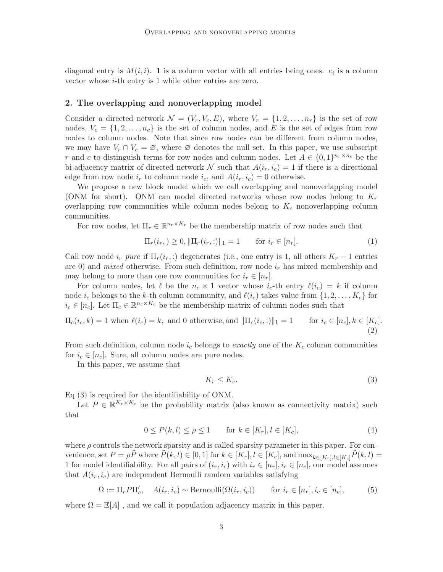diagonal entry is  $M(i, i)$ . **1** is a column vector with all entries being ones.  $e_i$  is a column vector whose i-th entry is 1 while other entries are zero.

## 2. The overlapping and nonoverlapping model

Consider a directed network  $\mathcal{N} = (V_r, V_c, E)$ , where  $V_r = \{1, 2, ..., n_r\}$  is the set of row nodes,  $V_c = \{1, 2, \ldots, n_c\}$  is the set of column nodes, and E is the set of edges from row nodes to column nodes. Note that since row nodes can be different from column nodes, we may have  $V_r \cap V_c = \emptyset$ , where  $\emptyset$  denotes the null set. In this paper, we use subscript r and c to distinguish terms for row nodes and column nodes. Let  $A \in \{0,1\}^{n_r \times n_c}$  be the bi-adjacency matrix of directed network N such that  $A(i_r, i_c) = 1$  if there is a directional edge from row node  $i_r$  to column node  $i_c$ , and  $A(i_r, i_c) = 0$  otherwise.

We propose a new block model which we call overlapping and nonoverlapping model (ONM for short). ONM can model directed networks whose row nodes belong to  $K_r$ overlapping row communities while column nodes belong to  $K_c$  nonoverlapping column communities.

For row nodes, let  $\Pi_r \in \mathbb{R}^{n_r \times K_r}$  be the membership matrix of row nodes such that

$$
\Pi_r(i_r,)\geq 0, \|\Pi_r(i_r,:)\|_1=1 \qquad \text{for } i_r \in [n_r].\tag{1}
$$

Call row node  $i_r$  *pure* if  $\Pi_r(i_r,:)$  degenerates (i.e., one entry is 1, all others  $K_r - 1$  entries are 0) and *mixed* otherwise. From such definition, row node  $i_r$  has mixed membership and may belong to more than one row communities for  $i_r \in [n_r]$ .

For column nodes, let  $\ell$  be the  $n_c \times 1$  vector whose  $i_c$ -th entry  $\ell(i_c) = k$  if column node  $i_c$  belongs to the k-th column community, and  $\ell(i_c)$  takes value from  $\{1, 2, \ldots, K_c\}$  for  $i_c \in [n_c]$ . Let  $\Pi_c \in \mathbb{R}^{n_c \times K_c}$  be the membership matrix of column nodes such that

$$
\Pi_c(i_c, k) = 1 \text{ when } \ell(i_c) = k, \text{ and } 0 \text{ otherwise, and } ||\Pi_c(i_c, :)||_1 = 1 \quad \text{for } i_c \in [n_c], k \in [K_c].
$$
\n
$$
(2)
$$

From such definition, column node  $i_c$  belongs to *exactly* one of the  $K_c$  column communities for  $i_c \in [n_c]$ . Sure, all column nodes are pure nodes.

In this paper, we assume that

<span id="page-2-4"></span><span id="page-2-3"></span><span id="page-2-2"></span><span id="page-2-1"></span><span id="page-2-0"></span>
$$
K_r \le K_c. \tag{3}
$$

Eq [\(3\)](#page-2-0) is required for the identifiability of ONM.

Let  $P \in \mathbb{R}^{K_r \times K_c}$  be the probability matrix (also known as connectivity matrix) such that

$$
0 \le P(k, l) \le \rho \le 1 \qquad \text{for } k \in [K_r], l \in [K_c], \tag{4}
$$

where  $\rho$  controls the network sparsity and is called sparsity parameter in this paper. For convenience, set  $P = \rho \tilde{P}$  where  $\tilde{P}(k, l) \in [0, 1]$  for  $k \in [K_r]$ ,  $l \in [K_c]$ , and  $\max_{k \in [K_r], l \in [K_c]} \tilde{P}(k, l)$ 1 for model identifiability. For all pairs of  $(i_r, i_c)$  with  $i_r \in [n_r], i_c \in [n_c]$ , our model assumes that  $A(i_r, i_c)$  are independent Bernoulli random variables satisfying

$$
\Omega := \Pi_r P \Pi'_c, \quad A(i_r, i_c) \sim \text{Bernoulli}(\Omega(i_r, i_c)) \qquad \text{for } i_r \in [n_r], i_c \in [n_c], \tag{5}
$$

where  $\Omega = \mathbb{E}[A]$ , and we call it population adjacency matrix in this paper.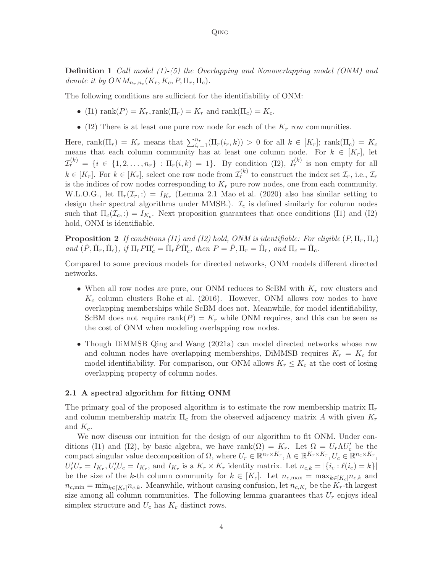Definition 1 *Call model [\(1\)](#page-2-1)-[\(5\)](#page-2-2) the Overlapping and Nonoverlapping model (ONM) and* denote it by  $ONM_{n_r,n_c}(K_r, K_c, P, \Pi_r, \Pi_c)$ .

The following conditions are sufficient for the identifiability of ONM:

- (I1) rank $(P) = K_r$ , rank $(\Pi_r) = K_r$  and rank $(\Pi_c) = K_c$ .
- (I2) There is at least one pure row node for each of the  $K_r$  row communities.

Here, rank $(\Pi_r) = K_r$  means that  $\sum_{i=1}^{n_r} (\Pi_r(i_r, k)) > 0$  for all  $k \in [K_r]$ ; rank $(\Pi_c) = K_c$ means that each column community has at least one column node. For  $k \in [K_r]$ , let  $\mathcal{I}_r^{(k)} = \{i \in \{1, 2, \ldots, n_r\} : \Pi_r(i,k) = 1\}.$  By condition (I2),  $I_r^{(k)}$  is non empty for all  $k \in [K_r]$ . For  $k \in [K_r]$ , select one row node from  $\mathcal{I}_r^{(k)}$  to construct the index set  $\mathcal{I}_r$ , i.e.,  $\mathcal{I}_r$ is the indices of row nodes corresponding to  $K_r$  pure row nodes, one from each community. W.L.O.G., let  $\Pi_r(\mathcal{I}_r,.) = I_{K_r}$  (Lemma 2.1 [Mao et al. \(2020](#page-24-8)) also has similar setting to design their spectral algorithms under MMSB.).  $\mathcal{I}_c$  is defined similarly for column nodes such that  $\Pi_c(\mathcal{I}_c,.) = I_{K_c}$ . Next proposition guarantees that once conditions (I1) and (I2) hold, ONM is identifiable.

<span id="page-3-1"></span>**Proposition 2** If conditions (I1) and (I2) hold, ONM is identifiable: For eligible  $(P, \Pi_r, \Pi_c)$  $and \ (\check{P}, \check{\Pi}_r, \check{\Pi}_c), \text{ if } \Pi_r P \Pi'_c = \check{\Pi}_r \check{P} \check{\Pi}'_c, \text{ then } P = \check{P}, \Pi_r = \check{\Pi}_r, \text{ and } \Pi_c = \check{\Pi}_c.$ 

Compared to some previous models for directed networks, ONM models different directed networks.

- When all row nodes are pure, our ONM reduces to ScBM with  $K_r$  row clusters and  $K_c$  column clusters [Rohe et al. \(2016\)](#page-25-2). However, ONM allows row nodes to have overlapping memberships while ScBM does not. Meanwhile, for model identifiability, ScBM does not require rank $(P) = K_r$  while ONM requires, and this can be seen as the cost of ONM when modeling overlapping row nodes.
- Though DiMMSB [Qing and Wang \(2021a](#page-25-6)) can model directed networks whose row and column nodes have overlapping memberships, DiMMSB requires  $K_r = K_c$  for model identifiability. For comparison, our ONM allows  $K_r \leq K_c$  at the cost of losing overlapping property of column nodes.

## 2.1 A spectral algorithm for fitting ONM

The primary goal of the proposed algorithm is to estimate the row membership matrix  $\Pi_r$ and column membership matrix  $\Pi_c$  from the observed adjacency matrix A with given  $K_r$ and  $K_c$ .

<span id="page-3-0"></span>We now discuss our intuition for the design of our algorithm to fit ONM. Under conditions (I1) and (I2), by basic algebra, we have rank( $\Omega$ ) =  $K_r$ . Let  $\Omega = U_r \Lambda U_c'$  be the compact singular value decomposition of  $\Omega$ , where  $U_r \in \mathbb{R}^{n_r \times K_r}$ ,  $\Lambda \in \mathbb{R}^{K_r \times K_r}$ ,  $U_c \in \mathbb{R}^{n_c \times K_r}$ ,  $U'_r U_r = I_{K_r}, U'_c U_c = I_{K_r}$ , and  $I_{K_r}$  is a  $K_r \times K_r$  identity matrix. Let  $n_{c,k} = |\{i_c : \ell(i_c) = k\}|$ be the size of the k-th column community for  $k \in [K_c]$ . Let  $n_{c,\text{max}} = \max_{k \in [K_c]} n_{c,k}$  and  $n_{c,\min} = \min_{k \in [K_c]} n_{c,k}$ . Meanwhile, without causing confusion, let  $n_{c,K_r}$  be the  $K_r$ -th largest size among all column communities. The following lemma guarantees that  $U_r$  enjoys ideal simplex structure and  $U_c$  has  $K_c$  distinct rows.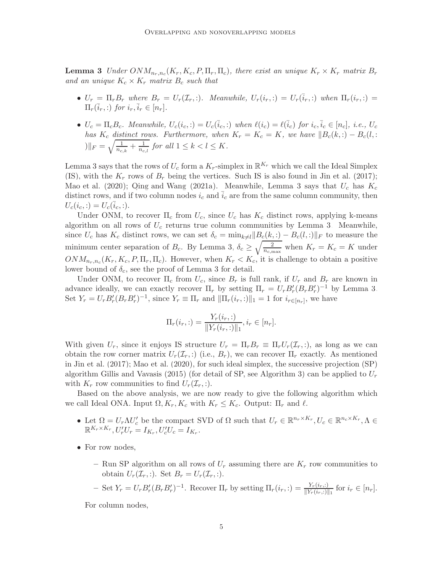**Lemma 3** *Under*  $ONM_{n_r,n_c}(K_r, K_c, P, \Pi_r, \Pi_c)$ , there exist an unique  $K_r \times K_r$  matrix  $B_r$ and an unique  $K_c \times K_r$  matrix  $B_c$  *such that* 

- $U_r = \Pi_r B_r$  where  $B_r = U_r(\mathcal{I}_r, :)$ . Meanwhile,  $U_r(i_r, :) = U_r(\bar{i}_r, :)$  when  $\Pi_r(i_r, :)$  $\Pi_r(\overline{i}_r,:)$  *for*  $i_r, \overline{i}_r \in [n_r]$ .
- $U_c = \Pi_c B_c$ . Meanwhile,  $U_c(i_c,:) = U_c(\bar{i}_c,:)$  when  $\ell(i_c) = \ell(\bar{i}_c)$  for  $i_c, \bar{i}_c \in [n_c]$ , i.e.,  $U_c$ *has*  $K_c$  *distinct rows. Furthermore, when*  $K_r = K_c = K$ *, we have*  $||B_c(k,.) - B_c(l,.)||$  $||F||_F = \sqrt{\frac{1}{n_{c,k}} + \frac{1}{n_{c,l}}}$  for all  $1 \leq k < l \leq K$ .

Lemma [3](#page-3-0) says that the rows of  $U_c$  form a  $K_r$ -simplex in  $\mathbb{R}^{K_r}$  which we call the Ideal Simplex (IS), with the  $K_r$  rows of  $B_r$  being the vertices. Such IS is also found in [Jin et al. \(2017](#page-24-3)); [Mao et al. \(2020\)](#page-24-8); [Qing and Wang \(2021a](#page-25-6)). Meanwhile, Lemma [3](#page-3-0) says that  $U_c$  has  $K_c$ distinct rows, and if two column nodes  $i_c$  and  $i_c$  are from the same column community, then  $U_c(i_c, :)=U_c(i_c, :).$ 

Under ONM, to recover  $\Pi_c$  from  $U_c$ , since  $U_c$  has  $K_c$  distinct rows, applying k-means algorithm on all rows of  $U_c$  returns true column communities by Lemma [3.](#page-3-0) Meanwhile, since  $U_c$  has  $K_c$  distinct rows, we can set  $\delta_c = \min_{k \neq l} ||B_c(k, :) - B_c(l, :)||_F$  to measure the minimum center separation of  $B_c$ . By Lemma [3,](#page-3-0)  $\delta_c \geq \sqrt{\frac{2}{n_{c,\text{max}}}}$  when  $K_r = K_c = K$  under  $ONM_{n_r,n_c}(K_r, K_c, P, \Pi_r, \Pi_c)$ . However, when  $K_r < K_c$ , it is challenge to obtain a positive lower bound of  $\delta_c$ , see the proof of Lemma [3](#page-3-0) for detail.

Under ONM, to recover  $\Pi_c$  from  $U_c$ , since  $B_r$  is full rank, if  $U_r$  and  $B_r$  are known in advance ideally, we can exactly recover  $\Pi_r$  by setting  $\Pi_r = U_r B'_r (B_r B'_r)^{-1}$  by Lemma [3.](#page-3-0) Set  $Y_r = U_r B'_r (B_r B'_r)^{-1}$ , since  $Y_r \equiv \Pi_r$  and  $\|\Pi_r(i_r,:)\|_1 = 1$  for  $i_{r \in [n_r]}$ , we have

$$
\Pi_r(i_r,:)=\frac{Y_r(i_r,:)}{\|Y_r(i_r,:)\|_1}, i_r\in[n_r].
$$

With given  $U_r$ , since it enjoys IS structure  $U_r = \Pi_r B_r \equiv \Pi_r U_r(\mathcal{I}_r, :)$ , as long as we can obtain the row corner matrix  $U_r(\mathcal{I}_r, :)$  (i.e.,  $B_r$ ), we can recover  $\Pi_r$  exactly. As mentioned in [Jin et al. \(2017\)](#page-24-3); [Mao et al. \(2020](#page-24-8)), for such ideal simplex, the successive projection (SP) algorithm [Gillis and Vavasis \(2015](#page-24-11)) (for detail of SP, see Algorithm [3\)](#page-15-0) can be applied to  $U_r$ with  $K_r$  row communities to find  $U_r(\mathcal{I}_r, \cdot)$ .

Based on the above analysis, we are now ready to give the following algorithm which we call Ideal ONA. Input  $\Omega, K_r, K_c$  with  $K_r \leq K_c$ . Output:  $\Pi_r$  and  $\ell$ .

- Let  $\Omega = U_r \Lambda U_c'$  be the compact SVD of  $\Omega$  such that  $U_r \in \mathbb{R}^{n_r \times K_r}, U_c \in \mathbb{R}^{n_c \times K_r}, \Lambda \in$  $\mathbb{R}^{K_r \times K_r}, U'_r U_r = I_{K_r}, U'_c U_c = I_{K_r}.$
- For row nodes,
	- Run SP algorithm on all rows of  $U_r$  assuming there are  $K_r$  row communities to obtain  $U_r(\mathcal{I}_r, \cdot)$ . Set  $B_r = U_r(\mathcal{I}_r, \cdot)$ .
	- Set  $Y_r = U_r B'_r (B_r B'_r)^{-1}$ . Recover  $\Pi_r$  by setting  $\Pi_r(i_r,:) = \frac{Y_r(i_r,:)}{\|Y_r(i_r,:) \|_1}$  for  $i_r \in [n_r]$ .

For column nodes,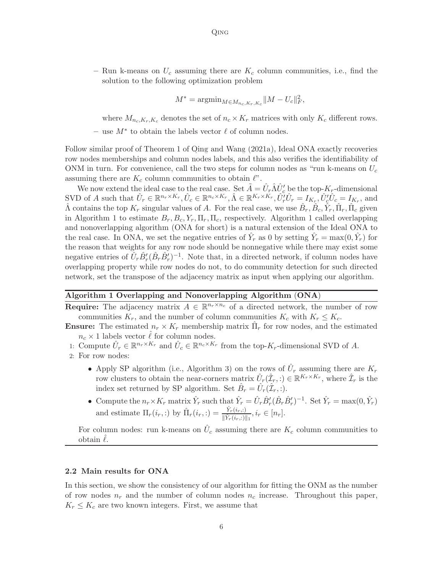– Run k-means on  $U_c$  assuming there are  $K_c$  column communities, i.e., find the solution to the following optimization problem

$$
M^* = \operatorname{argmin}_{M \in M_{n_c, K_r, K_c}} \|M - U_c\|_F^2,
$$

where  $M_{n_c,K_r,K_c}$  denotes the set of  $n_c \times K_r$  matrices with only  $K_c$  different rows.

 $-$  use  $M^*$  to obtain the labels vector  $\ell$  of column nodes.

Follow similar proof of Theorem 1 of [Qing and Wang \(2021a](#page-25-6)), Ideal ONA exactly recoveries row nodes memberships and column nodes labels, and this also verifies the identifiability of ONM in turn. For convenience, call the two steps for column nodes as "run k-means on  $U_c$ assuming there are  $K_c$  column communities to obtain  $\ell$ ".

We now extend the ideal case to the real case. Set  $\tilde{A} = \hat{U}_r \hat{\Lambda} \hat{U}'_c$  be the top- $K_r$ -dimensional SVD of A such that  $\hat{U}_r \in \mathbb{R}^{n_r \times K_r}, \hat{U}_c \in \mathbb{R}^{n_c \times K_r}, \hat{\Lambda} \in \mathbb{R}^{K_r \times K_r}, \hat{U}_r^{\prime} \hat{U}_r = I_{K_r}, \hat{U}_c^{\prime} \hat{U}_c = I_{K_r},$  and  $\hat{\Lambda}$  contains the top  $K_r$  singular values of A. For the real case, we use  $\hat{B}_r$ ,  $\hat{B}_c$ ,  $\hat{Y}_r$ ,  $\hat{\Pi}_r$ ,  $\hat{\Pi}_c$  given in Algorithm [1](#page-5-0) to estimate  $B_r, B_c, Y_r, \Pi_r, \Pi_c$ , respectively. Algorithm 1 called overlapping and nonoverlapping algorithm (ONA for short) is a natural extension of the Ideal ONA to the real case. In ONA, we set the negative entries of  $\hat{Y}_r$  as 0 by setting  $\hat{Y}_r = \max(0, \hat{Y}_r)$  for the reason that weights for any row node should be nonnegative while there may exist some negative entries of  $\hat{U}_r \hat{B}'_r (\hat{B}_r \hat{B}'_r)^{-1}$ . Note that, in a directed network, if column nodes have overlapping property while row nodes do not, to do community detection for such directed network, set the transpose of the adjacency matrix as input when applying our algorithm.

#### <span id="page-5-0"></span>Algorithm 1 Overlapping and Nonoverlapping Algorithm (ONA)

**Require:** The adjacency matrix  $A \in \mathbb{R}^{n_r \times n_c}$  of a directed network, the number of row communities  $K_r$ , and the number of column communities  $K_c$  with  $K_r \leq K_c$ .

- **Ensure:** The estimated  $n_r \times K_r$  membership matrix  $\hat{\Pi}_r$  for row nodes, and the estimated  $n_c \times 1$  labels vector  $\ell$  for column nodes.
- 1: Compute  $\hat{U}_r \in \mathbb{R}^{n_r \times K_r}$  and  $\hat{U}_c \in \mathbb{R}^{n_c \times K_r}$  from the top- $K_r$ -dimensional SVD of A.
- 2: For row nodes:
	- Apply SP algorithm (i.e., Algorithm [3\)](#page-15-0) on the rows of  $\hat{U}_r$  assuming there are  $K_r$ row clusters to obtain the near-corners matrix  $\hat{U}_r(\hat{\mathcal{I}}_r,:)\in\mathbb{R}^{K_r\times K_r}$ , where  $\hat{\mathcal{I}}_r$  is the index set returned by SP algorithm. Set  $\hat{B}_r = \hat{U}_r(\hat{\mathcal{I}}_r, :)$ .
	- Compute the  $n_r \times K_r$  matrix  $\hat{Y}_r$  such that  $\hat{Y}_r = \hat{U}_r \hat{B}'_r (\hat{B}_r \hat{B}'_r)^{-1}$ . Set  $\hat{Y}_r = \max(0, \hat{Y}_r)$ and estimate  $\Pi_r(i_r,:)$  by  $\hat{\Pi}_r(i_r,:)=\frac{\hat{Y}_r(i_r,:)}{\|\hat{Y}_r(i_r,:)\|_1}, i_r \in [n_r]$ .

For column nodes: run k-means on  $\hat{U}_c$  assuming there are  $K_c$  column communities to obtain  $\ell$ .

#### 2.2 Main results for ONA

<span id="page-5-1"></span>In this section, we show the consistency of our algorithm for fitting the ONM as the number of row nodes  $n_r$  and the number of column nodes  $n_c$  increase. Throughout this paper,  $K_r \leq K_c$  are two known integers. First, we assume that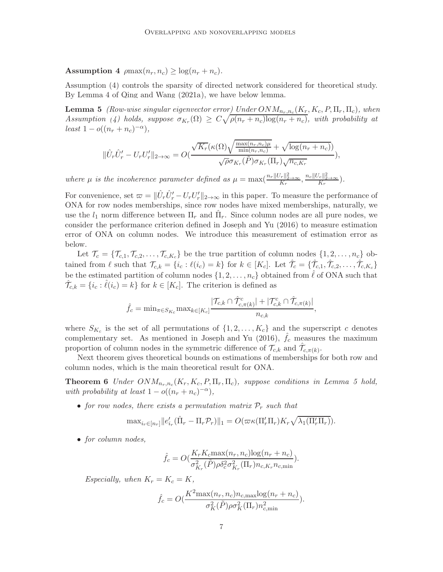Assumption 4  $\rho \max(n_r, n_c) \geq \log(n_r + n_c)$ .

Assumption [\(4\)](#page-5-1) controls the sparsity of directed network considered for theoretical study. By Lemma 4 of [Qing and Wang \(2021a\)](#page-25-6), we have below lemma.

**Lemma 5** *(Row-wise singular eigenvector error<u>)</u> Under*  $ONM_{n_r,n_c}(K_r, K_c, P, \Pi_r, \Pi_c)$ , when Assumption [\(4\)](#page-5-1) holds, suppose  $\sigma_{K_r}(\Omega) \geq C \sqrt{\rho(n_r+n_c)\log(n_r+n_c)}$ , with probability at  $least 1 - o((n_r + n_c)^{-\alpha}),$ 

<span id="page-6-0"></span>
$$
\|\hat{U}_r\hat{U}'_r - U_rU'_r\|_{2\to\infty} = O(\frac{\sqrt{K_r}(\kappa(\Omega)\sqrt{\frac{\max(n_r, n_c)\mu}{\min(n_r, n_c)}} + \sqrt{\log(n_r + n_c)})}{\sqrt{\rho}\sigma_{K_r}(\tilde{P})\sigma_{K_r}(\Pi_r)\sqrt{n_{c,K_r}}}),
$$

where  $\mu$  is the incoherence parameter defined as  $\mu = \max(\frac{n_r ||U_r||_{2\to\infty}^2}{K_r}, \frac{n_c ||U_c||_{2\to\infty}^2}{K_r})$ .

For convenience, set  $\varpi = ||\hat{U}_r \hat{U}'_r - U_r U'_r||_{2\to\infty}$  in this paper. To measure the performance of ONA for row nodes memberships, since row nodes have mixed memberships, naturally, we use the  $l_1$  norm difference between  $\Pi_r$  and  $\hat{\Pi}_r$ . Since column nodes are all pure nodes, we consider the performance criterion defined in [Joseph and Yu \(2016](#page-24-6)) to measure estimation error of ONA on column nodes. We introduce this measurement of estimation error as below.

Let  $\mathcal{T}_c = \{\mathcal{T}_{c,1}, \mathcal{T}_{c,2}, \ldots, \mathcal{T}_{c,K_c}\}\$  be the true partition of column nodes  $\{1, 2, \ldots, n_c\}$  obtained from  $\ell$  such that  $\mathcal{T}_{c,k} = \{i_c : \ell(i_c) = k\}$  for  $k \in [K_c]$ . Let  $\hat{\mathcal{T}}_c = \{\hat{\mathcal{T}}_{c,1}, \hat{\mathcal{T}}_{c,2}, \dots, \hat{\mathcal{T}}_{c,K_c}\}$ be the estimated partition of column nodes  $\{1, 2, \ldots, n_c\}$  obtained from  $\ell$  of ONA such that  $\hat{\mathcal{T}}_{c,k} = \{i_c : \hat{\ell}(i_c) = k\}$  for  $k \in [K_c]$ . The criterion is defined as

$$
\hat{f}_c = \min_{\pi \in S_{K_c}} \max_{k \in [K_c]} \frac{|\mathcal{T}_{c,k} \cap \hat{\mathcal{T}}_{c,\pi(k)}^c| + |\mathcal{T}_{c,k}^c \cap \hat{\mathcal{T}}_{c,\pi(k)}|}{n_{c,k}},
$$

where  $S_{K_c}$  is the set of all permutations of  $\{1, 2, \ldots, K_c\}$  and the superscript c denotes complementary set. As mentioned in Joseph and Yu  $(2016)$ ,  $f_c$  measures the maximum proportion of column nodes in the symmetric difference of  $\mathcal{T}_{c,k}$  and  $\hat{\mathcal{T}}_{c,\pi(k)}$ .

Next theorem gives theoretical bounds on estimations of memberships for both row and column nodes, which is the main theoretical result for ONA.

**Theorem 6** Under  $ONM_{n_r,n_c}(K_r, K_c, P, \Pi_r, \Pi_c)$ , suppose conditions in Lemma [5](#page-6-0) hold, *with probability at least*  $1 - o((n_r + n_c)^{-\alpha}),$ 

• *for row nodes, there exists a permutation matrix*  $P_r$  *such that* 

$$
\text{max}_{i_r \in [n_r]} ||e'_{i_r}(\hat{\Pi}_r - \Pi_r \mathcal{P}_r)||_1 = O(\varpi \kappa(\Pi'_r \Pi_r) K_r \sqrt{\lambda_1(\Pi'_r \Pi_r)}).
$$

• *for column nodes,*

<span id="page-6-1"></span>
$$
\hat{f}_c = O(\frac{K_r K_c \max(n_r, n_c) \log(n_r + n_c)}{\sigma_{K_r}^2(\tilde{P}) \rho \delta_c^2 \sigma_{K_r}^2(\Pi_r) n_{c, K_r} n_{c, \min}}).
$$

*Especially, when*  $K_r = K_c = K$ *,* 

$$
\hat{f}_c = O(\frac{K^2 \max(n_r, n_c) n_{c,\text{max}} \log(n_r + n_c)}{\sigma_K^2(\tilde{P}) \rho \sigma_K^2(\Pi_r) n_{c,\text{min}}^2}).
$$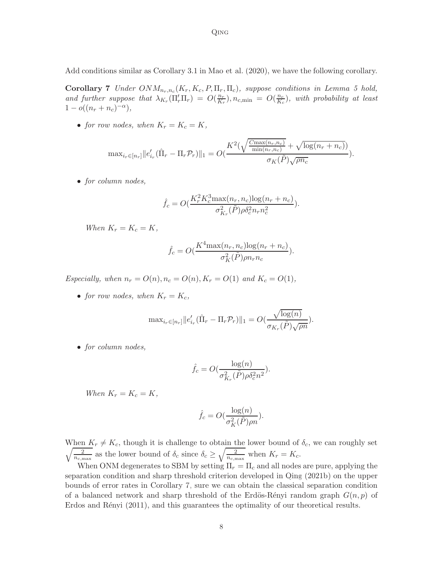Add conditions similar as Corollary 3.1 in [Mao et al. \(2020](#page-24-8)), we have the following corollary.

**Corollary 7** *Under*  $ONM_{n_r,n_c}(K_r, K_c, P, \Pi_r, \Pi_c)$ , suppose conditions in Lemma [5](#page-6-0) hold, and further suppose that  $\lambda_{K_r}(\Pi'_r\Pi_r) = O(\frac{n_r}{K_r})$  $\frac{n_r}{K_r}$ ),  $n_{c,\min} = O(\frac{n_c}{K_c})$  $\frac{n_c}{K_c}$ ), with probability at least  $1 - o((n_r + n_c)^{-\alpha}),$ 

• *for row nodes, when*  $K_r = K_c = K$ *,* 

$$
\max_{i_r \in [n_r]} ||e'_{i_r}(\hat{\Pi}_r - \Pi_r \mathcal{P}_r)||_1 = O\left(\frac{K^2(\sqrt{\frac{C_{\max}(n_r, n_c)}{\min(n_r, n_c)}} + \sqrt{\log(n_r + n_c)})}{\sigma_K(\tilde{P})\sqrt{\rho n_c}}\right).
$$

• *for column nodes,*

<span id="page-7-0"></span>
$$
\hat{f}_c = O(\frac{K_r^2 K_c^3 \max(n_r, n_c) \log(n_r + n_c)}{\sigma_{K_r}^2 (\tilde{P}) \rho \delta_c^2 n_r n_c^2}).
$$

*When*  $K_r = K_c = K$ ,

$$
\hat{f}_c = O(\frac{K^4 \max(n_r, n_c) \log(n_r + n_c)}{\sigma_K^2(\tilde{P}) \rho n_r n_c}).
$$

*Especially, when*  $n_r = O(n), n_c = O(n), K_r = O(1)$  *and*  $K_c = O(1)$ *,* 

• *for row nodes, when*  $K_r = K_c$ ,

$$
\max_{i_r \in [n_r]} ||e'_{i_r}(\hat{\Pi}_r - \Pi_r \mathcal{P}_r)||_1 = O(\frac{\sqrt{\log(n)}}{\sigma_{K_r}(\tilde{P})\sqrt{\rho n}}).
$$

• *for column nodes,*

$$
\hat{f}_c = O\left(\frac{\log(n)}{\sigma_{K_r}^2(\tilde{P})\rho \delta_c^2 n^2}\right).
$$

*When*  $K_r = K_c = K$ *,* 

$$
\hat{f}_c = O(\frac{\log(n)}{\sigma_K^2(\tilde{P})\rho n}).
$$

When  $K_r \neq K_c$ , though it is challenge to obtain the lower bound of  $\delta_c$ , we can roughly set  $\sqrt{\frac{2}{n_{c,\text{max}}}}$  as the lower bound of  $\delta_c$  since  $\delta_c \geq \sqrt{\frac{2}{n_{c,\text{max}}}}$  when  $K_r = K_c$ .

When ONM degenerates to SBM by setting  $\Pi_r = \Pi_c$  and all nodes are pure, applying the separation condition and sharp threshold criterion developed in [Qing \(2021b](#page-24-12)) on the upper bounds of error rates in Corollary [7,](#page-7-0) sure we can obtain the classical separation condition of a balanced network and sharp threshold of the Erdös-Rényi random graph  $G(n, p)$  of Erdos and Rényi  $(2011)$ , and this guarantees the optimality of our theoretical results.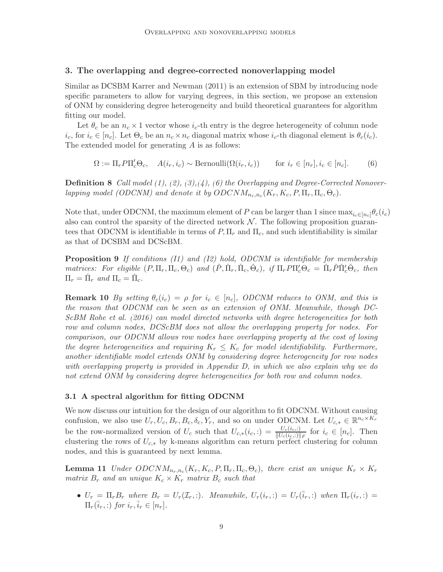#### 3. The overlapping and degree-corrected nonoverlapping model

Similar as DCSBM [Karrer and Newman \(2011](#page-24-1)) is an extension of SBM by introducing node specific parameters to allow for varying degrees, in this section, we propose an extension of ONM by considering degree heterogeneity and build theoretical guarantees for algorithm fitting our model.

Let  $\theta_c$  be an  $n_c \times 1$  vector whose  $i_c$ -th entry is the degree heterogeneity of column node  $i_c$ , for  $i_c \in [n_c]$ . Let  $\Theta_c$  be an  $n_c \times n_c$  diagonal matrix whose  $i_c$ -th diagonal element is  $\theta_c(i_c)$ . The extended model for generating A is as follows:

<span id="page-8-2"></span><span id="page-8-0"></span>
$$
\Omega := \Pi_r P \Pi'_c \Theta_c, \quad A(i_r, i_c) \sim \text{Bernoulli}(\Omega(i_r, i_c)) \qquad \text{for } i_r \in [n_r], i_c \in [n_c].
$$
 (6)

Definition 8 *Call model [\(1\)](#page-2-1), [\(2\)](#page-2-3), [\(3\)](#page-2-0),[\(4\)](#page-2-4), [\(6\)](#page-8-0) the Overlapping and Degree-Corrected Nonoverlapping model (ODCNM) and denote it by*  $ODCNM_{n_r,n_c}(K_r, K_c, P, \Pi_r, \Pi_c, \Theta_c)$ .

Note that, under ODCNM, the maximum element of P can be larger than 1 since  $\max_{i \in [n_c]} \theta_c(i_c)$ also can control the sparsity of the directed network  $N$ . The following proposition guarantees that ODCNM is identifiable in terms of  $P, \Pi_r$  and  $\Pi_c$ , and such identifiability is similar as that of DCSBM and DCScBM.

Proposition 9 *If conditions (I1) and (I2) hold, ODCNM is identifiable for membership matrices: For eligible*  $(P, \Pi_r, \Pi_c, \Theta_c)$  *and*  $(\check{P}, \check{\Pi}_r, \check{\Pi}_c, \check{\Theta}_c)$ , if  $\Pi_r P \Pi_c' \Theta_c = \check{\Pi}_r \check{P} \check{\Pi}_c' \check{\Theta}_c$ , then  $\Pi_r = \check{\Pi}_r$  and  $\Pi_c = \check{\Pi}_c$ .

**Remark 10** *By setting*  $\theta_c(i_c) = \rho$  *for*  $i_c \in [n_c]$ *, ODCNM reduces to ONM, and this is the reason that ODCNM can be seen as an extension of ONM. Meanwhile, though DC-ScBM [Rohe et al. \(2016\)](#page-25-2) can model directed networks with degree heterogeneities for both row and column nodes, DCScBM does not allow the overlapping property for nodes. For comparison, our ODCNM allows row nodes have overlapping property at the cost of losing the degree heterogeneities and requiring*  $K_r \leq K_c$  *for model identifiability. Furthermore, another identifiable model extends ONM by considering degree heterogeneity for row nodes with overlapping property is provided in Appendix [D,](#page-22-0) in which we also explain why we do not extend ONM by considering degree heterogeneities for both row and column nodes.*

### 3.1 A spectral algorithm for fitting ODCNM

We now discuss our intuition for the design of our algorithm to fit ODCNM. Without causing confusion, we also use  $U_r, U_c, B_r, B_c, \delta_c, Y_r$ , and so on under ODCNM. Let  $U_{c,*} \in \mathbb{R}^{n_c \times K_r}$ be the row-normalized version of  $U_c$  such that  $U_{c,*}(i_c,:) = \frac{U_c(i_c,:)}{\|U_c(i_c,:) \|_F}$  for  $i_c \in [n_c]$ . Then clustering the rows of  $U_{c,*}$  by k-means algorithm can return perfect clustering for column nodes, and this is guaranteed by next lemma.

**Lemma 11** *Under*  $ODCNM_{n_r,n_c}(K_r, K_c, P, \Pi_r, \Pi_c, \Theta_c)$ , there exist an unique  $K_r \times K_r$ *matrix*  $B_r$  *and an unique*  $K_c \times K_r$  *matrix*  $B_c$  *such that* 

<span id="page-8-1"></span>•  $U_r = \prod_r B_r$  where  $B_r = U_r(\mathcal{I}_r, \cdot)$ . Meanwhile,  $U_r(i_r, \cdot) = U_r(\bar{i}_r, \cdot)$  when  $\Pi_r(i_r, \cdot)$  $\Pi_r(\overline{i}_r,:)$  *for*  $i_r,\overline{i}_r \in [n_r]$ .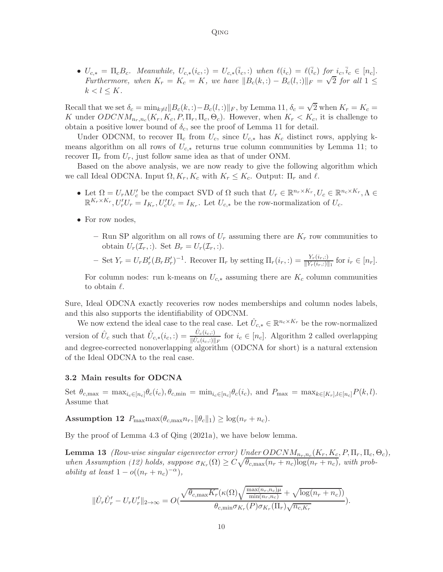•  $U_{c,*} = \Pi_c B_c$ . Meanwhile,  $U_{c,*}(i_c,:) = U_{c,*}(\bar{i}_c,:)$  when  $\ell(i_c) = \ell(\bar{i}_c)$  for  $i_c, \bar{i}_c \in [n_c]$ . *Furthermore, when*  $K_r = K_c = K$ *, we have*  $||B_c(k,:) - B_c(l,:)||_F = \sqrt{2}$  *for all*  $1 \leq$  $k < l \leq K$ .

Qing

Recall that we set  $\delta_c = \min_{k \neq l} ||B_c(k,:) - B_c(l, :)||_F$ , by Lemma [11,](#page-8-1)  $\delta_c = \sqrt{2}$  when  $K_r = K_c =$ K under  $ODCNM_{n_r,n_c}(K_r, K_c, P, \Pi_r, \Pi_c, \Theta_c)$ . However, when  $K_r < K_c$ , it is challenge to obtain a positive lower bound of  $\delta_c$ , see the proof of Lemma [11](#page-8-1) for detail.

Under ODCNM, to recover  $\Pi_c$  from  $U_c$ , since  $U_{c,*}$  has  $K_c$  distinct rows, applying kmeans algorithm on all rows of  $U_{c,*}$  returns true column communities by Lemma [11;](#page-8-1) to recover  $\Pi_r$  from  $U_r$ , just follow same idea as that of under ONM.

Based on the above analysis, we are now ready to give the following algorithm which we call Ideal ODCNA. Input  $\Omega, K_r, K_c$  with  $K_r \leq K_c$ . Output:  $\Pi_r$  and  $\ell$ .

- Let  $\Omega = U_r \Lambda U_c'$  be the compact SVD of  $\Omega$  such that  $U_r \in \mathbb{R}^{n_r \times K_r}, U_c \in \mathbb{R}^{n_c \times K_r}, \Lambda \in$  $\mathbb{R}^{K_r \times K_r}$ ,  $U'_r U_r = I_{K_r}$ ,  $U'_c U_c = I_{K_r}$ . Let  $U_{c,*}$  be the row-normalization of  $U_c$ .
- For row nodes,
	- Run SP algorithm on all rows of  $U_r$  assuming there are  $K_r$  row communities to obtain  $U_r(\mathcal{I}_r, \cdot)$ . Set  $B_r = U_r(\mathcal{I}_r, \cdot)$ .
	- $-$  Set  $Y_r = U_r B'_r (B_r B'_r)^{-1}$ . Recover  $\Pi_r$  by setting  $\Pi_r(i_r,.) = \frac{Y_r(i_r,.)}{\|Y_r(i_r,.)\|_1}$  for  $i_r \in [n_r]$ .

For column nodes: run k-means on  $U_{c,*}$  assuming there are  $K_c$  column communities to obtain  $\ell$ .

Sure, Ideal ODCNA exactly recoveries row nodes memberships and column nodes labels, and this also supports the identifiability of ODCNM.

We now extend the ideal case to the real case. Let  $\hat{U}_{c,*} \in \mathbb{R}^{n_c \times K_r}$  be the row-normalized version of  $\hat{U}_c$  such that  $\hat{U}_{c,*}(i_c,:) = \frac{\hat{U}_c(i_c,:)}{\|\hat{U}_c(i_c,:) \|_F}$  for  $i_c \in [n_c]$ . Algorithm [2](#page-10-0) called overlapping and degree-corrected nonoverlapping algorithm (ODCNA for short) is a natural extension of the Ideal ODCNA to the real case.

## 3.2 Main results for ODCNA

<span id="page-9-0"></span>Set  $\theta_{c,\max} = \max_{i_c \in [n_c]} \theta_c(i_c), \theta_{c,\min} = \min_{i_c \in [n_c]} \theta_c(i_c),$  and  $P_{\max} = \max_{k \in [K_r], l \in [n_c]} P(k, l).$ Assume that

**Assumption 12**  $P_{\text{max}} \max(\theta_{c,\text{max}} n_r, \|\theta_c\|_1) \geq \log(n_r + n_c)$ .

By the proof of Lemma 4.3 of [Qing \(2021a](#page-24-14)), we have below lemma.

**Lemma 13** *(Row-wise singular eigenvector error)* Under  $ODCNM_{n_r,n_c}(K_r, K_c, P, \Pi_r, \Pi_c, \Theta_c)$ , when Assumption [\(12\)](#page-9-0) holds, suppose  $\sigma_{K_r}(\Omega) \geq C \sqrt{\theta_{c,\max}(n_r + n_c) \log(n_r + n_c)}$ , with prob*ability at least*  $1 - o((n_r + n_c)^{-\alpha}),$ 

<span id="page-9-1"></span>
$$
\|\hat{U}_r\hat{U}'_r - U_rU'_r\|_{2\to\infty} = O(\frac{\sqrt{\theta_{c,\max}K_r}(\kappa(\Omega)\sqrt{\frac{\max(n_r,n_c)\mu}{\min(n_r,n_c)}} + \sqrt{\log(n_r+n_c))}}{\theta_{c,\min}\sigma_{K_r}(P)\sigma_{K_r}(\Pi_r)\sqrt{n_{c,K_r}}}).
$$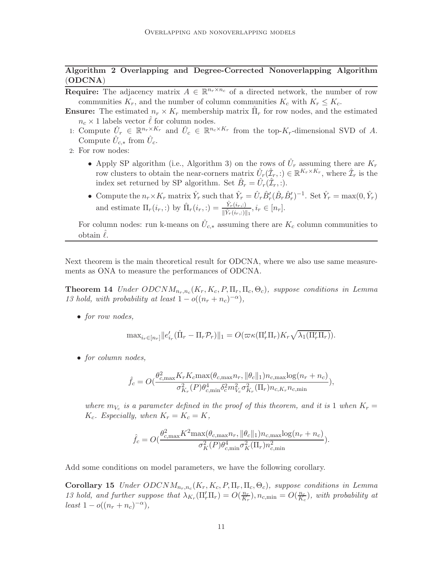# Algorithm 2 Overlapping and Degree-Corrected Nonoverlapping Algorithm (ODCNA)

- <span id="page-10-0"></span>**Require:** The adjacency matrix  $A \in \mathbb{R}^{n_r \times n_c}$  of a directed network, the number of row communities  $K_r$ , and the number of column communities  $K_c$  with  $K_r \leq K_c$ .
- **Ensure:** The estimated  $n_r \times K_r$  membership matrix  $\hat{\Pi}_r$  for row nodes, and the estimated  $n_c \times 1$  labels vector  $\ell$  for column nodes.
- 1: Compute  $\hat{U}_r \in \mathbb{R}^{n_r \times K_r}$  and  $\hat{U}_c \in \mathbb{R}^{n_c \times K_r}$  from the top- $K_r$ -dimensional SVD of A. Compute  $\hat{U}_{c,*}$  from  $\hat{U}_c$ .
- 2: For row nodes:
	- Apply SP algorithm (i.e., Algorithm [3\)](#page-15-0) on the rows of  $\hat{U}_r$  assuming there are  $K_r$ row clusters to obtain the near-corners matrix  $\hat{U}_r(\hat{\mathcal{I}}_r,:)\in\mathbb{R}^{K_r\times K_r}$ , where  $\hat{\mathcal{I}}_r$  is the index set returned by SP algorithm. Set  $\hat{B}_r = \hat{U}_r(\hat{\mathcal{I}}_r, :)$ .
	- Compute the  $n_r \times K_r$  matrix  $\hat{Y}_r$  such that  $\hat{Y}_r = \hat{U}_r \hat{B}'_r (\hat{B}_r \hat{B}'_r)^{-1}$ . Set  $\hat{Y}_r = \max(0, \hat{Y}_r)$ and estimate  $\Pi_r(i_r,:)$  by  $\hat{\Pi}_r(i_r,:)=\frac{\hat{Y}_r(i_r,:)}{\|\hat{Y}_r(i_r,:)\|_1}, i_r \in [n_r]$ .

For column nodes: run k-means on  $\hat{U}_{c,*}$  assuming there are  $K_c$  column communities to obtain  $\ell$ .

Next theorem is the main theoretical result for ODCNA, where we also use same measurements as ONA to measure the performances of ODCNA.

**Theorem 14** *Under*  $ODCNM_{n_r,n_c}(K_r, K_c, P, \Pi_r, \Pi_c, \Theta_c)$ *, suppose conditions in Lemma [13](#page-9-1) hold, with probability at least*  $1 - o((n_r + n_c)^{-\alpha}),$ 

• *for row nodes,*

<span id="page-10-2"></span>
$$
\max_{i_r \in [n_r]} ||e'_{i_r}(\hat{\Pi}_r - \Pi_r \mathcal{P}_r)||_1 = O(\varpi \kappa(\Pi'_r \Pi_r) K_r \sqrt{\lambda_1(\Pi'_r \Pi_r)}).
$$

• *for column nodes,*

$$
\hat{f}_c = O(\frac{\theta_{c,\max}^2 K_r K_c \max(\theta_{c,\max} n_r, \|\theta_c\|_1) n_{c,\max} \log(n_r + n_c)}{\sigma_{K_r}^2(P) \theta_{c,\min}^4 \delta_c^2 m_{V_c}^2 \sigma_{K_r}^2(\Pi_r) n_{c,K_r} n_{c,\min}}),
$$

*where*  $m_{V_c}$  *is a parameter defined in the proof of this theorem, and it is* 1 *when*  $K_r =$  $K_c$ *. Especially, when*  $K_r = K_c = K$ *,* 

<span id="page-10-1"></span>
$$
\hat{f}_c = O(\frac{\theta_{c,\max}^2 K^2 \max(\theta_{c,\max} n_r, \|\theta_c\|_1) n_{c,\max} \log(n_r + n_c)}{\sigma_K^2(P)\theta_{c,\min}^4 \sigma_K^2(\Pi_r) n_{c,\min}^2}).
$$

Add some conditions on model parameters, we have the following corollary.

Corollary 15 *Under*  $ODCNM_{n_r,n_c}(K_r, K_c, P, \Pi_r, \Pi_c, \Theta_c)$ , suppose conditions in Lemma *[13](#page-9-1)* hold, and further suppose that  $\lambda_{K_r}(\Pi'_r \Pi_r) = O(\frac{n_r}{K_r})$  $\frac{n_r}{K_r}$ ),  $n_{c,\min} = O(\frac{n_c}{K_c})$  $\frac{n_c}{K_c}$ ), with probability at  $least 1 - o((n_r + n_c)^{-\alpha}),$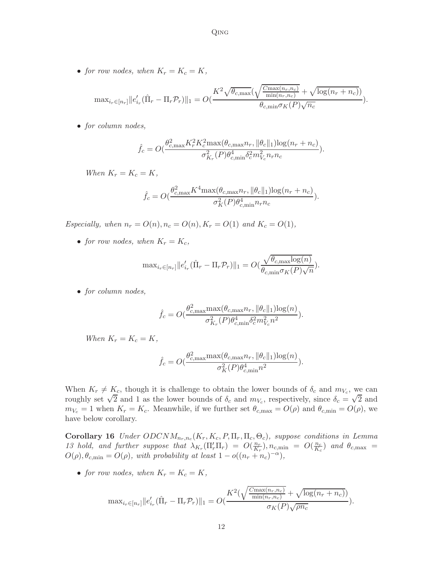• *for row nodes, when*  $K_r = K_c = K$ *,* 

$$
\text{max}_{i_r \in [n_r]} ||e'_{i_r}(\hat{\Pi}_r - \Pi_r \mathcal{P}_r)||_1 = O(\frac{K^2 \sqrt{\theta_{c,\max}(\sqrt{\frac{C_{\max}(n_r, n_c)}{\min(n_r, n_c)}} + \sqrt{\log(n_r + n_c)})}}{\theta_{c,\min} \sigma_K(P) \sqrt{n_c}}).
$$

• *for column nodes,*

$$
\hat{f}_c = O\left(\frac{\theta_{c,\max}^2 K_r^2 K_c^2 \max(\theta_{c,\max} n_r, \|\theta_c\|_1) \log(n_r + n_c)}{\sigma_{K_r}^2(P) \theta_{c,\min}^4 \delta_c^2 m_{V_c}^2 n_r n_c}\right).
$$

*When*  $K_r = K_c = K$ *,* 

$$
\hat{f}_c = O(\frac{\theta_{c,\max}^2 K^4 \max(\theta_{c,\max} n_r, \|\theta_c\|_1) \log(n_r + n_c)}{\sigma_K^2(P)\theta_{c,\min}^4 n_r n_c}).
$$

*Especially, when*  $n_r = O(n), n_c = O(n), K_r = O(1)$  *and*  $K_c = O(1)$ *,* 

• *for row nodes, when*  $K_r = K_c$ ,

$$
\text{max}_{i_r \in [n_r]} ||e'_{i_r}(\hat{\Pi}_r - \Pi_r \mathcal{P}_r)||_1 = O(\frac{\sqrt{\theta_{c,\text{max}} \log(n)}}{\theta_{c,\text{min}} \sigma_K(P)\sqrt{n}}).
$$

• *for column nodes,*

$$
\hat{f}_c = O(\frac{\theta_{c,\max}^2 \max(\theta_{c,\max} n_r, \|\theta_c\|_1) \log(n)}{\sigma_{K_r}^2(P) \theta_{c,\min}^4 \delta_c^2 m_{V_c}^2 n^2}).
$$

*When*  $K_r = K_c = K$ *,* 

<span id="page-11-0"></span>
$$
\hat{f}_c = O\left(\frac{\theta_{c,\max}^2 \max(\theta_{c,\max} n_r, \|\theta_c\|_1) \log(n)}{\sigma_K^2(P) \theta_{c,\min}^4 n^2}\right).
$$

When  $K_r \neq K_c$ , though it is challenge to obtain the lower bounds of  $\delta_c$  and  $m_{V_c}$ , we can roughly set  $\sqrt{2}$  and 1 as the lower bounds of  $\delta_c$  and  $m_{V_c}$ , respectively, since  $\delta_c = \sqrt{2}$  and  $m_{V_c} = 1$  when  $K_r = K_c$ . Meanwhile, if we further set  $\theta_{c,\text{max}} = O(\rho)$  and  $\theta_{c,\text{min}} = O(\rho)$ , we have below corollary.

Corollary 16 *Under*  $ODCNM_{n_r,n_c}(K_r, K_c, P, \Pi_r, \Pi_c, \Theta_c)$ , suppose conditions in Lemma [13](#page-9-1) hold, and further suppose that  $\lambda_{K_r}(\Pi'_r\Pi_r) = O(\frac{n_r}{K_r})$  $\frac{n_r}{K_r}$ ),  $n_{c,\min} = O(\frac{n_c}{K_c})$  $\frac{n_c}{K_c}$ ) and  $\theta_{c,\text{max}}$  =  $O(\rho), \theta_{c,\text{min}} = O(\rho)$ , with probability at least  $1 - o((n_r + n_c)^{-\alpha}),$ 

• *for row nodes, when*  $K_r = K_c = K$ *,* 

$$
\max_{i_r \in [n_r]} ||e'_{i_r}(\hat{\Pi}_r - \Pi_r \mathcal{P}_r)||_1 = O(\frac{K^2(\sqrt{\frac{C_{\max}(n_r, n_c)}{\min(n_r, n_c)}} + \sqrt{\log(n_r + n_c)})}{\sigma_K(P)\sqrt{\rho n_c}}).
$$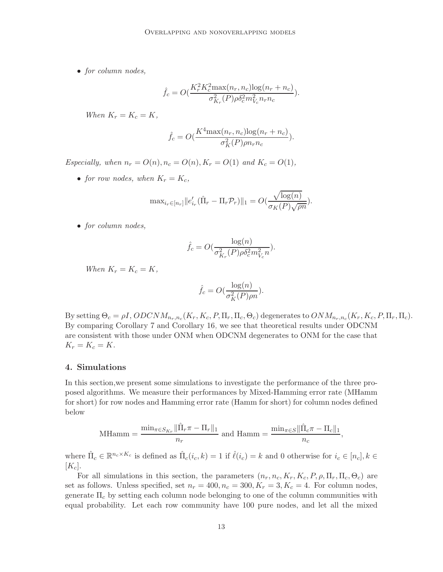• *for column nodes,*

$$
\hat{f}_c = O(\frac{K_r^2 K_c^2 \max(n_r, n_c) \log(n_r + n_c)}{\sigma_{K_r}^2 (P) \rho \delta_c^2 m_{V_c}^2 n_r n_c}).
$$

*When*  $K_r = K_c = K$ *,* 

$$
\hat{f}_c = O(\frac{K^4 \max(n_r, n_c) \log(n_r + n_c)}{\sigma_K^2(P)\rho n_r n_c}).
$$

*Especially, when*  $n_r = O(n), n_c = O(n), K_r = O(1)$  *and*  $K_c = O(1)$ *,* 

• *for row nodes, when*  $K_r = K_c$ ,

$$
\text{max}_{i_r \in [n_r]} ||e'_{i_r}(\hat{\Pi}_r - \Pi_r \mathcal{P}_r)||_1 = O(\frac{\sqrt{\log(n)}}{\sigma_K(P)\sqrt{\rho n}}).
$$

• *for column nodes,*

$$
\hat{f}_c = O(\frac{\log(n)}{\sigma_{K_r}^2(P)\rho \delta_c^2 m_{V_c}^2 n}).
$$

*When*  $K_r = K_c = K$ ,

$$
\hat{f}_c = O(\frac{\log(n)}{\sigma_K^2(P)\rho n}).
$$

By setting  $\Theta_c = \rho I$ ,  $ODCNM_{n_r,n_c}(K_r, K_c, P, \Pi_r, \Pi_c, \Theta_c)$  degenerates to  $ONM_{n_r,n_c}(K_r, K_c, P, \Pi_r, \Pi_c)$ . By comparing Corollary [7](#page-7-0) and Corollary [16,](#page-11-0) we see that theoretical results under ODCNM are consistent with those under ONM when ODCNM degenerates to ONM for the case that  $K_r = K_c = K$ .

#### 4. Simulations

In this section,we present some simulations to investigate the performance of the three proposed algorithms. We measure their performances by Mixed-Hamming error rate (MHamm for short) for row nodes and Hamming error rate (Hamm for short) for column nodes defined below

MHamm = 
$$
\frac{\min_{\pi \in S_{K_r}} ||\hat{\Pi}_r \pi - \Pi_r||_1}{n_r}
$$
 and Hamm =  $\frac{\min_{\pi \in S} ||\hat{\Pi}_c \pi - \Pi_c||_1}{n_c}$ ,

where  $\hat{\Pi}_c \in \mathbb{R}^{n_c \times K_c}$  is defined as  $\hat{\Pi}_c(i_c, k) = 1$  if  $\hat{\ell}(i_c) = k$  and 0 otherwise for  $i_c \in [n_c], k \in$  $[K_c]$ .

For all simulations in this section, the parameters  $(n_r, n_c, K_r, K_c, P, \rho, \Pi_r, \Pi_c, \Theta_c)$  are set as follows. Unless specified, set  $n_r = 400, n_c = 300, K_r = 3, K_c = 4$ . For column nodes, generate  $\Pi_c$  by setting each column node belonging to one of the column communities with equal probability. Let each row community have 100 pure nodes, and let all the mixed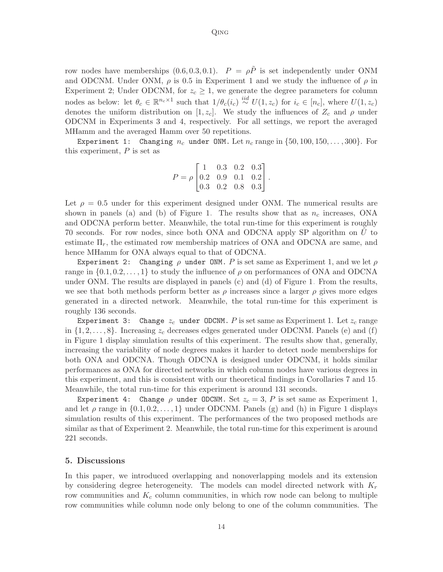#### Qing

row nodes have memberships  $(0.6, 0.3, 0.1)$ .  $P = \rho \tilde{P}$  is set independently under ONM and ODCNM. Under ONM,  $\rho$  is 0.5 in Experiment 1 and we study the influence of  $\rho$  in Experiment 2; Under ODCNM, for  $z_c \geq 1$ , we generate the degree parameters for column nodes as below: let  $\theta_c \in \mathbb{R}^{n_c \times 1}$  such that  $1/\theta_c(i_c) \stackrel{iid}{\sim} U(1, z_c)$  for  $i_c \in [n_c]$ , where  $U(1, z_c)$ denotes the uniform distribution on [1,  $z_c$ ]. We study the influences of  $Z_c$  and  $\rho$  under ODCNM in Experiments 3 and 4, respectively. For all settings, we report the averaged MHamm and the averaged Hamm over 50 repetitions.

Experiment 1: Changing  $n_c$  under ONM. Let  $n_c$  range in  $\{50, 100, 150, \ldots, 300\}$ . For this experiment,  $P$  is set as

$$
P = \rho \begin{bmatrix} 1 & 0.3 & 0.2 & 0.3 \\ 0.2 & 0.9 & 0.1 & 0.2 \\ 0.3 & 0.2 & 0.8 & 0.3 \end{bmatrix}.
$$

Let  $\rho = 0.5$  under for this experiment designed under ONM. The numerical results are shown in panels (a) and (b) of Figure [1.](#page-14-0) The results show that as  $n_c$  increases, ONA and ODCNA perform better. Meanwhile, the total run-time for this experiment is roughly 70 seconds. For row nodes, since both ONA and ODCNA apply SP algorithm on Uˆ to estimate  $\Pi_r$ , the estimated row membership matrices of ONA and ODCNA are same, and hence MHamm for ONA always equal to that of ODCNA.

Experiment 2: Changing  $\rho$  under ONM. P is set same as Experiment 1, and we let  $\rho$ range in  $\{0.1, 0.2, \ldots, 1\}$  to study the influence of  $\rho$  on performances of ONA and ODCNA under ONM. The results are displayed in panels (c) and (d) of Figure [1.](#page-14-0) From the results, we see that both methods perform better as  $\rho$  increases since a larger  $\rho$  gives more edges generated in a directed network. Meanwhile, the total run-time for this experiment is roughly 136 seconds.

Experiment 3: Change  $z_c$  under ODCNM. P is set same as Experiment 1. Let  $z_c$  range in  $\{1, 2, \ldots, 8\}$ . Increasing  $z_c$  decreases edges generated under ODCNM. Panels (e) and (f) in Figure [1](#page-14-0) display simulation results of this experiment. The results show that, generally, increasing the variability of node degrees makes it harder to detect node memberships for both ONA and ODCNA. Though ODCNA is designed under ODCNM, it holds similar performances as ONA for directed networks in which column nodes have various degrees in this experiment, and this is consistent with our theoretical findings in Corollaries [7](#page-7-0) and [15.](#page-10-1) Meanwhile, the total run-time for this experiment is around 131 seconds.

Experiment 4: Change  $\rho$  under ODCNM. Set  $z_c = 3$ , P is set same as Experiment 1, and let  $\rho$  range in  $\{0.1, 0.2, \ldots, 1\}$  $\{0.1, 0.2, \ldots, 1\}$  $\{0.1, 0.2, \ldots, 1\}$  under ODCNM. Panels (g) and (h) in Figure 1 displays simulation results of this experiment. The performances of the two proposed methods are similar as that of Experiment 2. Meanwhile, the total run-time for this experiment is around 221 seconds.

## 5. Discussions

In this paper, we introduced overlapping and nonoverlapping models and its extension by considering degree heterogeneity. The models can model directed network with  $K_r$ row communities and  $K_c$  column communities, in which row node can belong to multiple row communities while column node only belong to one of the column communities. The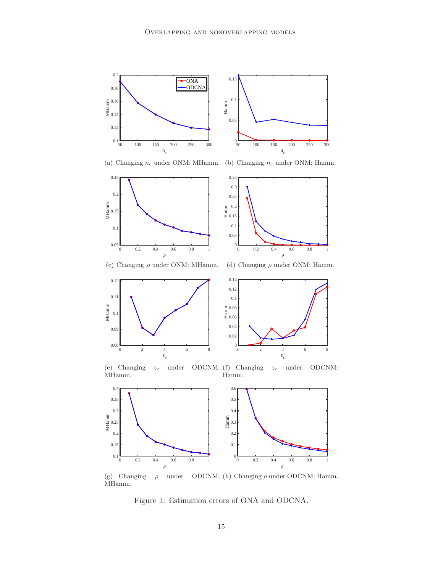



0 2 4 6 8 z c

 $0.08\frac{L}{0}$ 

0.09

0.1

MHamm

0 2 4 6 8 z c  $0\frac{L}{0}$ 0.02 0.04 0.06 0.08 Hamm 0.1

(e) Changing  $z_c$  under ODCNM: (f) Changing  $z_c$  under ODCNM: MHamm. Hamm.



(g) Changing  $\rho$  under ODCNM: (h) Changing  $\rho$  under ODCNM: Hamm. MHamm.

<span id="page-14-0"></span>Figure 1: Estimation errors of ONA and ODCNA.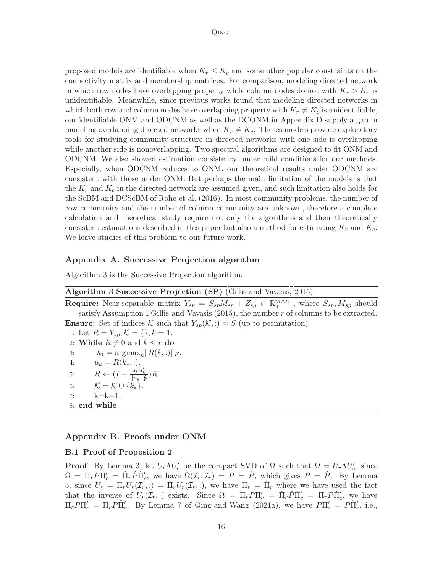proposed models are identifiable when  $K_r \leq K_c$  and some other popular constraints on the connectivity matrix and membership matrices. For comparison, modeling directed network in which row nodes have overlapping property while column nodes do not with  $K_r > K_c$  is unidentifiable. Meanwhile, since previous works found that modeling directed networks in which both row and column nodes have overlapping property with  $K_r \neq K_c$  is unidentifiable, our identifiable ONM and ODCNM as well as the DCONM in Appendix [D](#page-22-0) supply a gap in modeling overlapping directed networks when  $K_r \neq K_c$ . Theses models provide exploratory tools for studying community structure in directed networks with one side is overlapping while another side is nonoverlapping. Two spectral algorithms are designed to fit ONM and ODCNM. We also showed estimation consistency under mild conditions for our methods. Especially, when ODCNM reduces to ONM, our theoretical results under ODCNM are consistent with those under ONM. But perhaps the main limitation of the models is that the  $K_r$  and  $K_c$  in the directed network are assumed given, and such limitation also holds for the ScBM and DCScBM of [Rohe et al. \(2016](#page-25-2)). In most community problems, the number of row community and the number of column community are unknown, therefore a complete calculation and theoretical study require not only the algorithms and their theoretically consistent estimations described in this paper but also a method for estimating  $K_r$  and  $K_c$ . We leave studies of this problem to our future work.

## Appendix A. Successive Projection algorithm

Algorithm [3](#page-15-0) is the Successive Projection algorithm.

<span id="page-15-0"></span>

| Algorithm 3 Successive Projection (SP) (Gillis and Vavasis, 2015)                                                                         |  |  |  |  |  |
|-------------------------------------------------------------------------------------------------------------------------------------------|--|--|--|--|--|
| <b>Require:</b> Near-separable matrix $Y_{sp} = S_{sp}M_{sp} + Z_{sp} \in \mathbb{R}_{+}^{m \times n}$ , where $S_{sp}$ , $M_{sp}$ should |  |  |  |  |  |
| satisfy Assumption 1 Gillis and Vavasis $(2015)$ , the number r of columns to be extracted.                                               |  |  |  |  |  |
| <b>Ensure:</b> Set of indices K such that $Y_{\text{sp}}(\mathcal{K},.) \approx S$ (up to permutation)                                    |  |  |  |  |  |
| 1: Let $R = Y_{sp}, \mathcal{K} = \{\}, k = 1$ .                                                                                          |  |  |  |  |  |
| 2: While $R \neq 0$ and $k \leq r$ do                                                                                                     |  |  |  |  |  |
| $k_* = \text{argmax}_k   R(k,:)  _F.$<br>3:                                                                                               |  |  |  |  |  |
| $u_k = R(k_*, :).$<br>4:                                                                                                                  |  |  |  |  |  |
| 5: $R \leftarrow (I - \frac{u_k u'_k}{\ u_k\ _{\mathcal{F}}^2})R.$                                                                        |  |  |  |  |  |
| $\mathcal{K} = \mathcal{K} \cup \{k_*\}.$<br>6:                                                                                           |  |  |  |  |  |
| $k=k+1$ .<br>7:                                                                                                                           |  |  |  |  |  |
| 8: end while                                                                                                                              |  |  |  |  |  |

# Appendix B. Proofs under ONM

# B.1 Proof of Proposition [2](#page-3-1)

**Proof** By Lemma [3,](#page-3-0) let  $U_r \Lambda U_c'$  be the compact SVD of  $\Omega$  such that  $\Omega = U_r \Lambda U_c'$ , since  $\Omega = \Pi_r P \Pi'_c = \tilde{\Pi}_r \tilde{P} \tilde{\Pi}'_c$ , we have  $\Omega(\mathcal{I}_r, \mathcal{I}_c) = P = \tilde{P}$ , which gives  $P = \tilde{P}$ . By Lemma [3,](#page-3-0) since  $U_r = \Pi_r U_r(\mathcal{I}_r, :) = \Pi_r U_r(\mathcal{I}_r, :)$ , we have  $\Pi_r = \Pi_r$  where we have used the fact that the inverse of  $U_r(\mathcal{I}_r,.)$  exists. Since  $\Omega = \Pi_r P \Pi'_c = \tilde{\Pi}_r P \tilde{\Pi}'_c = \Pi_r P \tilde{\Pi}'_c$ , we have  $\Pi_r P \Pi'_c = \Pi_r P \Pi'_c$ . By Lemma 7 of [Qing and Wang \(2021a\)](#page-25-6), we have  $P \Pi'_c = P \Pi'_c$ , i.e.,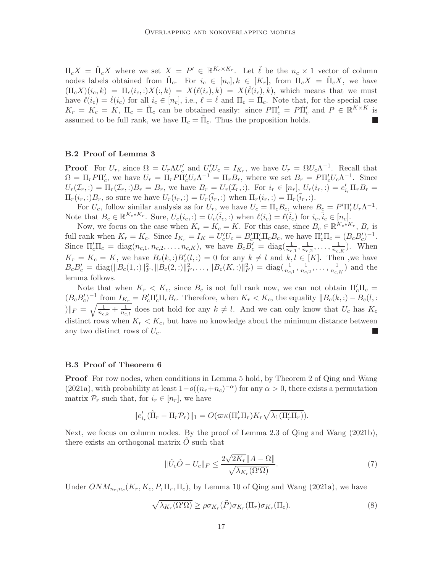$\Pi_c X = \tilde{\Pi}_c X$  where we set  $X = P' \in \mathbb{R}^{K_c \times K_r}$ . Let  $\ell$  be the  $n_c \times 1$  vector of column nodes labels obtained from  $\tilde{\Pi}_c$ . For  $i_c \in [n_c], k \in [K_r]$ , from  $\Pi_c X = \tilde{\Pi}_c X$ , we have  $(\Pi_c X)(i_c, k) = \Pi_c(i_c, :)X(:, k) = X(\ell(i_c), k) = X(\ell(i_c), k)$ , which means that we must have  $\ell(i_c) = \ell(i_c)$  for all  $i_c \in [n_c]$ , i.e.,  $\ell = \ell$  and  $\Pi_c = \Pi_c$ . Note that, for the special case  $K_r = K_c = K$ ,  $\Pi_c = \Pi_c$  can be obtained easily: since  $P\Pi_c' = P\Pi_c'$  and  $P \in \mathbb{R}^{K \times K}$  is assumed to be full rank, we have  $\Pi_c = \check{\Pi}_c$ . Thus the proposition holds.  $\mathcal{L}_{\mathcal{A}}$ 

## B.2 Proof of Lemma [3](#page-3-0)

**Proof** For  $U_r$ , since  $\Omega = U_r \Lambda U_c'$  and  $U_c' U_c = I_{K_r}$ , we have  $U_r = \Omega U_c \Lambda^{-1}$ . Recall that  $\Omega = \Pi_r P \Pi_c'$ , we have  $U_r = \Pi_r P \Pi_c' U_c \Lambda^{-1} = \Pi_r B_r$ , where we set  $B_r = P \Pi_c' U_c \Lambda^{-1}$ . Since  $U_r(\mathcal{I}_r, \cdot) = \Pi_r(\mathcal{I}_r, \cdot)B_r = B_r$ , we have  $B_r = U_r(\mathcal{I}_r, \cdot)$ . For  $i_r \in [n_r]$ ,  $U_r(i_r, \cdot) = e'_{i_r} \Pi_r B_r =$  $\Pi_r(i_r,:)B_r$ , so sure we have  $U_r(i_r,:)=U_r(i_r,:)$  when  $\Pi_r(i_r,:)=\Pi_r(i_r,:)$ .

For  $U_c$ , follow similar analysis as for  $U_r$ , we have  $U_c = \Pi_c B_c$ , where  $B_c = P' \Pi'_r U_r \Lambda^{-1}$ . Note that  $B_c \in \mathbb{R}^{K_c*K_r}$ . Sure,  $U_c(i_c,:) = U_c(\bar{i}_c,:)$  when  $\ell(i_c) = \ell(\bar{i}_c)$  for  $i_c, \bar{i}_c \in [n_c]$ .

Now, we focus on the case when  $K_r = K_c = K$ . For this case, since  $B_c \in \mathbb{R}^{K_c*K_r}$ ,  $B_c$  is full rank when  $K_r = K_c$ . Since  $I_{K_r} = I_K = U_c' U_c = B_c' \Pi_c' \Pi_c B_c$ , we have  $\Pi_c' \Pi_c = (B_c B_c')^{-1}$ . Since  $\Pi'_{c} \Pi_{c} = \text{diag}(n_{c,1}, n_{c,2}, \dots, n_{c,K})$ , we have  $B_{c} B'_{c} = \text{diag}(\frac{1}{n_{c,1}}, \frac{1}{n_{c,2}}, \dots, \frac{1}{n_{c,K}})$ . When  $K_r = K_c = K$ , we have  $B_c(k,:)B_c'(l,:) = 0$  for any  $k \neq l$  and  $k, l \in [K]$ . Then , we have  $B_c B'_c = \text{diag}(\|B_c(1,:)\|_F^2, \|B_c(2,:)\|_F^2, \ldots, \|B_c(K,:)\|_F^2) = \text{diag}(\frac{1}{n_{c,1}}, \frac{1}{n_{c,2}}, \ldots, \frac{1}{n_{c,K}})$  and the lemma follows.

Note that when  $K_r < K_c$ , since  $B_c$  is not full rank now, we can not obtain  $\Pi_c' \Pi_c =$  $(B_c B_c')^{-1}$  from  $I_{K_r} = B_c' \Pi_c' \Pi_c B_c$ . Therefore, when  $K_r < K_c$ , the equality  $||B_c(k,.) - B_c(l,:)||$  $||F||_F = \sqrt{\frac{1}{n_{c,k}} + \frac{1}{n_{c,l}}}$  does not hold for any  $k \neq l$ . And we can only know that  $U_c$  has  $K_c$ distinct rows when  $K_r < K_c$ , but have no knowledge about the minimum distance between any two distinct rows of  $U_c$ . L

#### B.3 Proof of Theorem [6](#page-6-1)

Proof For row nodes, when conditions in Lemma [5](#page-6-0) hold, by Theorem 2 of [Qing and Wang](#page-25-6) [\(2021a](#page-25-6)), with probability at least  $1-o((n_r+n_c)^{-\alpha})$  for any  $\alpha > 0$ , there exists a permutation matrix  $\mathcal{P}_r$  such that, for  $i_r \in [n_r]$ , we have

$$
||e'_{i_r}(\hat{\Pi}_r - \Pi_r \mathcal{P}_r)||_1 = O(\varpi \kappa(\Pi'_r \Pi_r) K_r \sqrt{\lambda_1(\Pi'_r \Pi_r)}).
$$

Next, we focus on column nodes. By the proof of Lemma 2.3 of [Qing and Wang \(2021b\)](#page-25-4), there exists an orthogonal matrix  $\hat{O}$  such that

<span id="page-16-1"></span><span id="page-16-0"></span>
$$
\|\hat{U}_c\hat{O} - U_c\|_F \le \frac{2\sqrt{2K_r} \|A - \Omega\|}{\sqrt{\lambda_{K_r}(\Omega'\Omega)}}.
$$
\n
$$
(7)
$$

Under  $ONM_{n_r,n_c}(K_r, K_c, P, \Pi_r, \Pi_c)$ , by Lemma 10 of [Qing and Wang \(2021a\)](#page-25-6), we have

$$
\sqrt{\lambda_{K_r}(\Omega'\Omega)} \ge \rho \sigma_{K_r}(\tilde{P}) \sigma_{K_r}(\Pi_r) \sigma_{K_r}(\Pi_c). \tag{8}
$$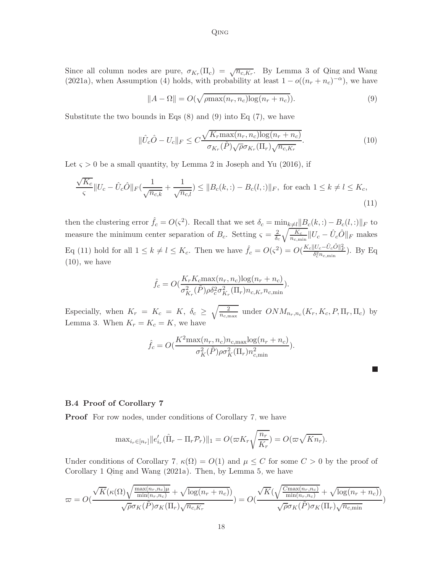<span id="page-17-2"></span><span id="page-17-0"></span>Qing

Since all column nodes are pure,  $\sigma_{K_r}(\Pi_c) = \sqrt{n_{c,K_r}}$ . By Lemma 3 of [Qing and Wang](#page-25-6) [\(2021a](#page-25-6)), when Assumption [\(4\)](#page-5-1) holds, with probability at least  $1 - o((n_r + n_c)^{-\alpha})$ , we have

$$
||A - \Omega|| = O(\sqrt{\rho \max(n_r, n_c) \log(n_r + n_c)}).
$$
\n(9)

Substitute the two bounds in Eqs  $(8)$  and  $(9)$  into Eq  $(7)$ , we have

$$
\|\hat{U}_c\hat{O} - U_c\|_F \le C \frac{\sqrt{K_r \max(n_r, n_c) \log(n_r + n_c)}}{\sigma_{K_r}(\tilde{P}) \sqrt{\rho} \sigma_{K_r}(\Pi_r) \sqrt{n_{c,K_r}}}.
$$
\n(10)

Let  $\varsigma > 0$  be a small quantity, by Lemma 2 in [Joseph and Yu \(2016](#page-24-6)), if

$$
\frac{\sqrt{K_c}}{\varsigma} \|U_c - \hat{U}_c \hat{O}\|_F \left(\frac{1}{\sqrt{n_{c,k}}} + \frac{1}{\sqrt{n_{c,l}}}\right) \le \|B_c(k,.) - B_c(l,:)\|_F, \text{ for each } 1 \le k \ne l \le K_c,
$$
\n(11)

then the clustering error  $\hat{f}_c = O(\varsigma^2)$ . Recall that we set  $\delta_c = \min_{k \neq l} ||B_c(k,:) - B_c(l,:)||_F$  to measure the minimum center separation of  $B_c$ . Setting  $\zeta = \frac{2}{\delta_c} \sqrt{\frac{K_c}{n_{c,\min}}} ||U_c - \hat{U}_c \hat{O}||_F$  makes Eq [\(11\)](#page-17-1) hold for all  $1 \le k \ne l \le K_c$ . Then we have  $\hat{f}_c = O(\varsigma^2) = O(\frac{K_c ||U_c - \hat{U}_c \hat{O}||_F^2}{\delta_c^2 n_{c,\min}})$ . By Eq  $(10)$ , we have

<span id="page-17-1"></span>
$$
\hat{f}_c = O(\frac{K_r K_c \max(n_r, n_c) \log(n_r + n_c)}{\sigma_{K_r}^2(\tilde{P}) \rho \delta_c^2 \sigma_{K_r}^2(\Pi_r) n_{c, K_r} n_{c, \min}}).
$$

Especially, when  $K_r = K_c = K$ ,  $\delta_c \geq \sqrt{\frac{2}{n_{c,\text{max}}}}$  under  $ONM_{n_r,n_c}(K_r, K_c, P, \Pi_r, \Pi_c)$  by Lemma [3.](#page-3-0) When  $K_r = K_c = K$ , we have

$$
\hat{f}_c = O(\frac{K^2 \max(n_r, n_c) n_{c, \max} \log(n_r + n_c)}{\sigma_K^2(\tilde{P}) \rho \sigma_K^2(\Pi_r) n_{c, \min}^2}).
$$

#### B.4 Proof of Corollary [7](#page-7-0)

**Proof** For row nodes, under conditions of Corollary [7,](#page-7-0) we have

$$
\max_{i_r \in [n_r]} ||e'_{i_r}(\hat{\Pi}_r - \Pi_r \mathcal{P}_r)||_1 = O(\varpi K_r \sqrt{\frac{n_r}{K_r}}) = O(\varpi \sqrt{K n_r}).
$$

Under conditions of Corollary [7,](#page-7-0)  $\kappa(\Omega) = O(1)$  and  $\mu \leq C$  for some  $C > 0$  by the proof of Corollary 1 [Qing and Wang \(2021a](#page-25-6)). Then, by Lemma [5,](#page-6-0) we have

$$
\varpi = O\left(\frac{\sqrt{K}(\kappa(\Omega)\sqrt{\frac{\max(n_r, n_c)\mu}{\min(n_r, n_c)}} + \sqrt{\log(n_r + n_c)})}{\sqrt{\rho}\sigma_K(\tilde{P})\sigma_K(\Pi_r)\sqrt{n_{c,K_r}}}\right) = O\left(\frac{\sqrt{K}\left(\sqrt{\frac{C_{\max(n_r, n_c)}{\min(n_r, n_c)}} + \sqrt{\log(n_r + n_c)})}\right)}{\sqrt{\rho}\sigma_K(\tilde{P})\sigma_K(\Pi_r)\sqrt{n_{c,\min}}}\right)
$$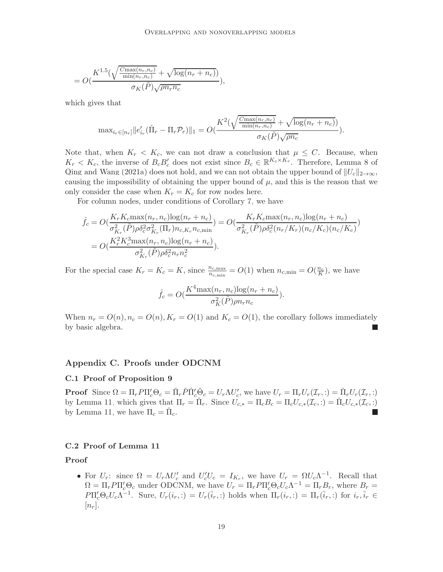$$
= O\left(\frac{K^{1.5}\left(\sqrt{\frac{C_{\max}(n_r, n_c)}{\min(n_r, n_c)}} + \sqrt{\log(n_r + n_c)}\right)}{\sigma_K(\tilde{P})\sqrt{\rho n_r n_c}}\right),
$$

which gives that

$$
\text{max}_{i_r \in [n_r]} ||e'_{i_r}(\hat{\Pi}_r - \Pi_r \mathcal{P}_r)||_1 = O(\frac{K^2(\sqrt{\frac{C_{\text{max}}(n_r, n_c)}{\text{min}(n_r, n_c)}} + \sqrt{\log(n_r + n_c))}}{\sigma_K(\tilde{P})\sqrt{\rho n_c}}).
$$

Note that, when  $K_r < K_c$ , we can not draw a conclusion that  $\mu \leq C$ . Because, when  $K_r < K_c$ , the inverse of  $B_c B_c'$  does not exist since  $B_c \in \mathbb{R}^{K_c \times K_r}$ . Therefore, Lemma 8 of [Qing and Wang \(2021a](#page-25-6)) does not hold, and we can not obtain the upper bound of  $||U_c||_{2\to\infty}$ , causing the impossibility of obtaining the upper bound of  $\mu$ , and this is the reason that we only consider the case when  $K_r = K_c$  for row nodes here.

For column nodes, under conditions of Corollary [7,](#page-7-0) we have

$$
\hat{f}_c = O(\frac{K_r K_c \max(n_r, n_c) \log(n_r + n_c)}{\sigma_{K_r}^2(\tilde{P}) \rho \delta_c^2 \sigma_{K_r}^2 (\Pi_r) n_{c,K_r} n_{c,\min}}) = O(\frac{K_r K_c \max(n_r, n_c) \log(n_r + n_c)}{\sigma_{K_r}^2(\tilde{P}) \rho \delta_c^2 (n_r/K_r) (n_c/K_c) (n_c/K_c)})
$$
\n
$$
= O(\frac{K_r^2 K_c^3 \max(n_r, n_c) \log(n_r + n_c)}{\sigma_{K_r}^2(\tilde{P}) \rho \delta_c^2 n_r n_c^2}).
$$

For the special case  $K_r = K_c = K$ , since  $\frac{n_{c,\text{max}}}{n_{c,\text{min}}} = O(1)$  when  $n_{c,\text{min}} = O(\frac{n_c}{K})$ , we have

$$
\hat{f}_c = O(\frac{K^4 \max(n_r, n_c) \log(n_r + n_c)}{\sigma_K^2(\tilde{P}) \rho n_r n_c}).
$$

When  $n_r = O(n)$ ,  $n_c = O(n)$ ,  $K_r = O(1)$  and  $K_c = O(1)$ , the corollary follows immediately by basic algebra.

#### Appendix C. Proofs under ODCNM

#### C.1 Proof of Proposition [9](#page-8-2)

**Proof** Since  $\Omega = \Pi_r P \Pi_c' \Theta_c = \check{\Pi}_r \check{P} \check{\Pi}_c' \check{\Theta}_c = U_r \Lambda U_c'$ , we have  $U_r = \Pi_r U_r(\mathcal{I}_r, :) = \check{\Pi}_r U_r(\mathcal{I}_r, :)$ by Lemma [11,](#page-8-1) which gives that  $\Pi_r = \Pi_r$ . Since  $U_{c,*} = \Pi_c B_c = \Pi_c U_{c,*}(\mathcal{I}_c, :) = \Pi_c U_{c,*}(\mathcal{I}_c, :)$ by Lemma [11,](#page-8-1) we have  $\Pi_c = \check{\Pi}_c$ .

#### C.2 Proof of Lemma [11](#page-8-1)

### Proof

• For  $U_r$ : since  $\Omega = U_r \Lambda U_c'$  and  $U_c' U_c = I_{K_r}$ , we have  $U_r = \Omega U_c \Lambda^{-1}$ . Recall that  $\Omega = \Pi_r P \Pi_c' \Theta_c$  under ODCNM, we have  $U_r = \Pi_r P \Pi_c' \Theta_c U_c \Lambda^{-1} = \Pi_r B_r$ , where  $B_r =$  $P\Pi'_{c}\Theta_{c}U_{c}\Lambda^{-1}$ . Sure,  $U_{r}(i_{r},:)=U_{r}(\bar{i}_{r},:)$  holds when  $\Pi_{r}(i_{r},:)=\Pi_{r}(\bar{i}_{r},:)$  for  $i_{r},\bar{i}_{r}\in$  $[n_r]$ .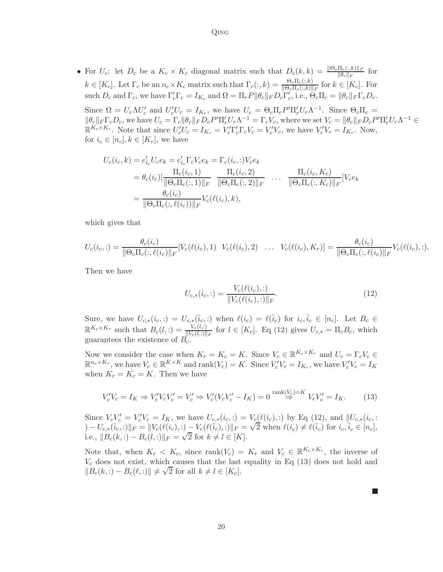• For  $U_c$ : let  $D_c$  be a  $K_c \times K_c$  diagonal matrix such that  $D_c(k, k) = \frac{\|\Theta_c \Pi_c(:,k)\|_F}{\|\theta_c\|_F}$  for  $k \in [K_c]$ . Let  $\Gamma_c$  be an  $n_c \times K_c$  matrix such that  $\Gamma_c(:,k) = \frac{\Theta_c \Pi_c(:,k)}{\|\Theta_c \Pi_c(:,k)\|_F}$  for  $k \in [K_c]$ . For such  $D_c$  and  $\Gamma_c$ , we have  $\Gamma_c'\Gamma_c = I_{K_c}$  and  $\Omega = \Pi_r P ||\theta_c||_F D_c \Gamma_c'$ , i.e.,  $\Theta_c \Pi_c = ||\theta_c||_F \Gamma_c D_c$ .

Since  $\Omega = U_r \Lambda U_c'$  and  $U_r' U_r = I_{K_r}$ , we have  $U_c = \Theta_c \Pi_c P' \Pi_r' U_r \Lambda^{-1}$ . Since  $\Theta_c \Pi_c =$  $\|\theta_c\|_F \Gamma_c D_c$ , we have  $U_c = \Gamma_c \|\theta_c\|_F D_c P' \Pi'_r U_r \Lambda^{-1} = \Gamma_c V_c$ , where we set  $V_c = \|\theta_c\|_F D_c P' \Pi'_r U_r \Lambda^{-1}$  $\mathbb{R}^{K_c \times K_r}$ . Note that since  $U_c'U_c = I_{K_r} = V_c' \Gamma_c' \Gamma_c V_c = V_c' V_c$ , we have  $V_c'V_c = I_{K_r}$ . Now, for  $i_c \in [n_c], k \in [K_r]$ , we have

$$
U_c(i_c, k) = e'_{i_c} U_c e_k = e'_{i_c} \Gamma_c V_c e_k = \Gamma_c(i_c, :) V_c e_k
$$
  
=  $\theta_c(i_c) \left[ \frac{\Pi_c(i_c, 1)}{\|\Theta_c \Pi_c(:, 1)\|_F} \frac{\Pi_c(i_c, 2)}{\|\Theta_c \Pi_c(:, 2)\|_F} \dots \frac{\Pi_c(i_c, K_c)}{\|\Theta_c \Pi_c(:, K_c)\|_F} \right] V_c e_k$   
=  $\frac{\theta_c(i_c)}{\|\Theta_c \Pi_c(:, \ell(i_c))\|_F} V_c(\ell(i_c), k),$ 

which gives that

$$
U_c(i_c,:)=\frac{\theta_c(i_c)}{\|\Theta_c\Pi_c(:,\ell(i_c)\|_F}[V_c(\ell(i_c),1) \quad V_c(\ell(i_c),2) \quad \dots \quad V_c(\ell(i_c),K_r)]=\frac{\theta_c(i_c)}{\|\Theta_c\Pi_c(:,\ell(i_c)\|_F}V_c(\ell(i_c),:).
$$

Then we have

<span id="page-19-0"></span>
$$
U_{c,*}(i_c,:)=\frac{V_c(\ell(i_c),:)}{\|V_c(\ell(i_c),:) \|F}.
$$
\n(12)

Sure, we have  $U_{c,*}(i_c,:)=U_{c,*}(\bar{i}_c,:)$  when  $\ell(i_c)=\ell(\bar{i}_c)$  for  $i_c,\bar{i}_c\in[n_c]$ . Let  $B_c\in$  $\mathbb{R}^{K_c \times K_r}$  such that  $B_c(l,:) = \frac{V_c(l,:)}{\|V_c(l,:)\|_F}$  for  $l \in [K_c]$ . Eq [\(12\)](#page-19-0) gives  $U_{c,*} = \Pi_c B_c$ , which guarantees the existence of  $B_c$ .

Now we consider the case when  $K_r = K_c = K$ . Since  $V_c \in \mathbb{R}^{K_c \times K_r}$  and  $U_c = \Gamma_c V_c \in$  $\mathbb{R}^{n_c \times K_r}$ , we have  $V_c \in \mathbb{R}^{K \times K}$  and  $\text{rank}(V_c) = K$ . Since  $V_c'V_c = I_{K_r}$ , we have  $V_c'V_c = I_K$ when  $K_r = K_c = K$ . Then we have

$$
V_c'V_c = I_K \Rightarrow V_c'V_cV_c' = V_c' \Rightarrow V_c'(V_cV_c' - I_K) = 0 \stackrel{\text{rank}(V_c) = K}{\Rightarrow} V_cV_c' = I_K. \tag{13}
$$

Since  $V_c V_c' = V_c' V_c = I_K$ , we have  $U_{c,*}(i_c,:) = V_c(\ell(i_c))$  by Eq [\(12\)](#page-19-0), and  $||U_{c,*}(i_c,:)||$  $U_{c, *}(\bar{i}_c, : |k| \bar{i}_c \in K)$  is the same  $U_{c, *}(\bar{i}_c, :)$   $|_{F} = \sqrt{2}$  when  $\ell(i_c) \neq \ell(\bar{i}_c)$  for  $i_c, \bar{i}_c \in [n_c],$ i.e.,  $||B_c(k,:) - B_c(l,:))||_F = \sqrt{2}$  for  $k \neq l \in [K]$ .

Note that, when  $K_r < K_c$ , since  $\text{rank}(V_c) = K_r$  and  $V_c \in \mathbb{R}^{K_c \times K_r}$ , the inverse of  $V_c$  does not exist, which causes that the last equality in Eq [\(13\)](#page-19-1) does not hold and  $||B_c(k,:) - B_c(\ell,:)|| \neq \sqrt{2}$  for all  $k \neq l \in [K_c]$ .

<span id="page-19-1"></span>20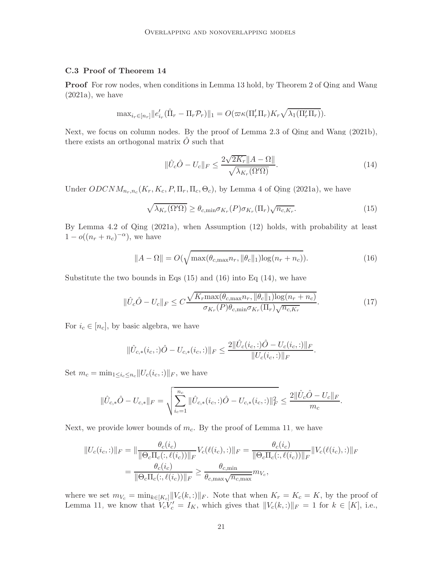# C.3 Proof of Theorem [14](#page-10-2)

**Proof** For row nodes, when conditions in Lemma [13](#page-9-1) hold, by Theorem 2 of [Qing and Wang](#page-25-6)  $(2021a)$  $(2021a)$ , we have

$$
\max_{i_r \in [n_r]} ||e'_{i_r}(\hat{\Pi}_r - \Pi_r \mathcal{P}_r)||_1 = O(\varpi \kappa(\Pi'_r \Pi_r) K_r \sqrt{\lambda_1(\Pi'_r \Pi_r)}).
$$

Next, we focus on column nodes. By the proof of Lemma 2.3 of [Qing and Wang \(2021b\)](#page-25-4), there exists an orthogonal matrix  $\ddot{O}$  such that

<span id="page-20-2"></span><span id="page-20-1"></span><span id="page-20-0"></span>
$$
\|\hat{U}_c\hat{O} - U_c\|_F \le \frac{2\sqrt{2K_r} \|A - \Omega\|}{\sqrt{\lambda_{K_r}(\Omega'\Omega)}}.
$$
\n(14)

Under  $ODCNM_{n_r,n_c}(K_r, K_c, P, \Pi_r, \Pi_c, \Theta_c)$ , by Lemma 4 of [Qing \(2021a](#page-24-14)), we have

$$
\sqrt{\lambda_{K_r}(\Omega'\Omega)} \ge \theta_{c,\min} \sigma_{K_r}(P) \sigma_{K_r}(\Pi_r) \sqrt{n_{c,K_r}}.
$$
\n(15)

By Lemma 4.2 of [Qing \(2021a](#page-24-14)), when Assumption [\(12\)](#page-9-0) holds, with probability at least  $1 - o((n_r + n_c)^{-\alpha})$ , we have

<span id="page-20-3"></span>
$$
||A - \Omega|| = O(\sqrt{\max(\theta_{c,\max} n_r, ||\theta_c||_1)\log(n_r + n_c)}).
$$
 (16)

Substitute the two bounds in Eqs  $(15)$  and  $(16)$  into Eq  $(14)$ , we have

$$
\|\hat{U}_c\hat{O} - U_c\|_F \le C \frac{\sqrt{K_r \max(\theta_{c,\max} n_r, \|\theta_c\|_1) \log(n_r + n_c)}}{\sigma_{K_r}(P)\theta_{c,\min}\sigma_{K_r}(\Pi_r)\sqrt{n_{c,K_r}}}. \tag{17}
$$

For  $i_c \in [n_c]$ , by basic algebra, we have

$$
\|\hat{U}_{c,*}(i_c,:)\hat{O} - U_{c,*}(i_c,:)\|_F \le \frac{2\|\hat{U}_c(i_c,:)\hat{O} - U_c(i_c,:)\|_F}{\|U_c(i_c,:)\|_F}.
$$

Set  $m_c = \min_{1 \leq i_c \leq n_c} ||U_c(i_c, :)||_F$ , we have

$$
\|\hat{U}_{c,*}\hat{O}-U_{c,*}\|_F=\sqrt{\sum_{i_c=1}^{n_c}\|\hat{U}_{c,*}(i_c,:)\hat{O}-U_{c,*}(i_c,:)\|_F^2}\leq \frac{2\|\hat{U}_c\hat{O}-U_c\|_F}{m_c}.
$$

Next, we provide lower bounds of  $m_c$ . By the proof of Lemma [11,](#page-8-1) we have

$$
||U_c(i_c,:)||_F = ||\frac{\theta_c(i_c)}{||\Theta_c\Pi_c(:,\ell(i_c))||_F}V_c(\ell(i_c,:)||_F = \frac{\theta_c(i_c)}{||\Theta_c\Pi_c(:,\ell(i_c))||_F}||V_c(\ell(i_c,:)||_F)
$$
  
= 
$$
\frac{\theta_c(i_c)}{||\Theta_c\Pi_c(:,\ell(i_c))||_F} \geq \frac{\theta_{c,\min}}{\theta_{c,\max}\sqrt{n_{c,\max}}}m_{V_c},
$$

where we set  $m_{V_c} = \min_{k \in [K_c]} ||V_c(k,:)||_F$ . Note that when  $K_r = K_c = K$ , by the proof of Lemma [11,](#page-8-1) we know that  $V_c V_c' = I_K$ , which gives that  $||V_c(k,:)||_F = 1$  for  $k \in [K]$ , i.e.,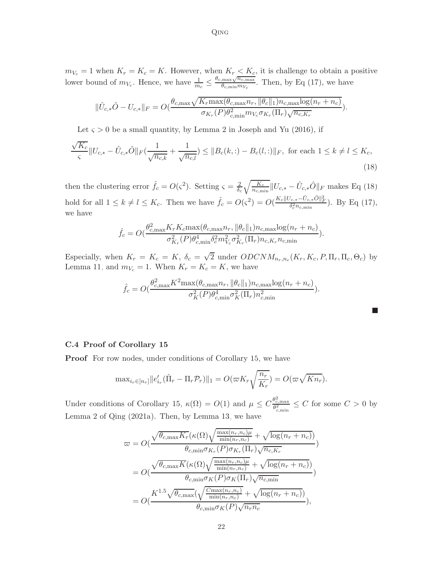<span id="page-21-0"></span>Qing

 $m_{V_c} = 1$  when  $K_r = K_c = K$ . However, when  $K_r < K_c$ , it is challenge to obtain a positive lower bound of  $m_{V_c}$ . Hence, we have  $\frac{1}{m_c} \leq$  $\theta_{c,\text{max}}\sqrt{n_{c,\text{max}}}$  $\frac{\max\{V\}}{ \theta_{c,\min} m_{V_c}}$ . Then, by Eq [\(17\)](#page-20-3), we have

$$
\|\hat{U}_{c,*}\hat{O}-U_{c,*}\|_F = O(\frac{\theta_{c,\max}\sqrt{K_r\max(\theta_{c,\max}n_r,\|\theta_c\|_1)n_{c,\max}\log(n_r+n_c)}}{\sigma_{K_r}(P)\theta_{c,\min}^2m_{V_c}\sigma_{K_r}(\Pi_r)\sqrt{n_{c,K_r}}}).
$$

Let  $\varsigma > 0$  be a small quantity, by Lemma 2 in [Joseph and Yu \(2016](#page-24-6)), if

$$
\frac{\sqrt{K_c}}{\varsigma} \|U_{c,*} - \hat{U}_{c,*}\hat{O}\|_F \left(\frac{1}{\sqrt{n_{c,k}}} + \frac{1}{\sqrt{n_{c,l}}}\right) \le \|B_c(k,:) - B_c(l,:) \|_F, \text{ for each } 1 \le k \ne l \le K_c,
$$
\n(18)

then the clustering error  $\hat{f}_c = O(\varsigma^2)$ . Setting  $\varsigma = \frac{2}{\delta_c} \sqrt{\frac{K_c}{n_{c,\min}}} ||U_{c,*} - \hat{U}_{c,*} \hat{O}||_F$  makes Eq [\(18\)](#page-21-0) hold for all  $1 \leq k \neq l \leq K_c$ . Then we have  $\hat{f}_c = O(\varsigma^2) = O(\frac{K_c ||U_{c,*} - \hat{U}_{c,*} \hat{O}||_F^2}{\delta_c^2 n_{c,\min}})$ . By Eq [\(17\)](#page-20-3), we have

$$
\hat{f}_c = O\left(\frac{\theta_{c,\max}^2 K_r K_c \max(\theta_{c,\max} n_r, \|\theta_c\|_1) n_{c,\max} \log(n_r + n_c)}{\sigma_{K_r}^2(P) \theta_{c,\min}^4 \delta_c^2 m_{V_c}^2 \sigma_{K_r}^2(\Pi_r) n_{c,K_r} n_{c,\min}}\right).
$$

Especially, when  $K_r = K_c = K$ ,  $\delta_c = \sqrt{2}$  under  $ODCNM_{n_r,n_c}(K_r, K_c, P, \Pi_r, \Pi_c, \Theta_c)$  by Lemma [11,](#page-8-1) and  $m_{V_c} = 1$ . When  $K_r = K_c = K$ , we have

$$
\hat{f}_c = O\left(\frac{\theta_{c,\max}^2 K^2 \max(\theta_{c,\max} n_r, \|\theta_c\|_1) n_{c,\max} \log(n_r + n_c)}{\sigma_K^2(P) \theta_{c,\min}^4 \sigma_K^2(\Pi_r) n_{c,\min}^2}\right).
$$

|  |  |  | C.4 Proof of Corollary 15 |  |
|--|--|--|---------------------------|--|
|--|--|--|---------------------------|--|

**Proof** For row nodes, under conditions of Corollary [15,](#page-10-1) we have

$$
\max_{i_r \in [n_r]} ||e'_{i_r}(\hat{\Pi}_r - \Pi_r \mathcal{P}_r)||_1 = O(\varpi K_r \sqrt{\frac{n_r}{K_r}}) = O(\varpi \sqrt{K n_r}).
$$

Under conditions of Corollary [15,](#page-10-1)  $\kappa(\Omega) = O(1)$  and  $\mu \leq C \frac{\theta_{c,\max}^2}{\theta_{c,\min}^2}$  $\frac{\theta_{c,\max}^c}{\theta_{c,\min}^2} \leq C$  for some  $C > 0$  by Lemma 2 of [Qing \(2021a](#page-24-14)). Then, by Lemma [13,](#page-9-1) we have

$$
\varpi = O(\frac{\sqrt{\theta_{c,\max} K_r}(\kappa(\Omega)\sqrt{\frac{\max(n_r, n_c)\mu}{\min(n_r, n_c)}} + \sqrt{\log(n_r + n_c)})}{\theta_{c,\min} \sigma_{K_r}(P)\sigma_{K_r}(\Pi_r)\sqrt{n_{c,K_r}}})
$$
\n
$$
= O(\frac{\sqrt{\theta_{c,\max} K}(\kappa(\Omega)\sqrt{\frac{\max(n_r, n_c)\mu}{\min(n_r, n_c)}} + \sqrt{\log(n_r + n_c)})}{\theta_{c,\min} \sigma_K(P)\sigma_K(\Pi_r)\sqrt{n_{c,\min}}})
$$
\n
$$
= O(\frac{K^{1.5}\sqrt{\theta_{c,\max}}(\sqrt{\frac{C_{\max}(n_r, n_c)}{\min(n_r, n_c)}} + \sqrt{\log(n_r + n_c)})}{\theta_{c,\min} \sigma_K(P)\sqrt{n_r n_c}}),
$$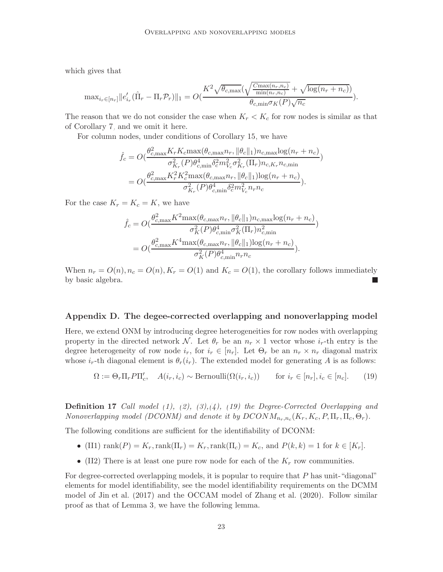which gives that

$$
\text{max}_{i_r \in [n_r]} ||e'_{i_r}(\hat{\Pi}_r - \Pi_r \mathcal{P}_r)||_1 = O(\frac{K^2 \sqrt{\theta_{c,\max}(\sqrt{\frac{C_{\max}(n_r, n_c)}{\min(n_r, n_c)}} + \sqrt{\log(n_r + n_c)})}}{\theta_{c,\min} \sigma_K(P) \sqrt{n_c}}).
$$

The reason that we do not consider the case when  $K_r < K_c$  for row nodes is similar as that of Corollary [7,](#page-7-0) and we omit it here.

For column nodes, under conditions of Corollary [15,](#page-10-1) we have

$$
\hat{f}_c = O(\frac{\theta_{c,\max}^2 K_r K_c \max(\theta_{c,\max} n_r, \|\theta_c\|_1) n_{c,\max} \log(n_r + n_c)}{\sigma_{K_r}^2(P) \theta_{c,\min}^4 \delta_c^2 m_{V_c}^2 \sigma_{K_r}^2 (\Pi_r) n_{c,K_r} n_{c,\min}})
$$
\n
$$
= O(\frac{\theta_{c,\max}^2 K_r^2 K_c^2 \max(\theta_{c,\max} n_r, \|\theta_c\|_1) \log(n_r + n_c)}{\sigma_{K_r}^2(P) \theta_{c,\min}^4 \delta_c^2 m_{V_c}^2 n_r n_c}).
$$

For the case  $K_r = K_c = K$ , we have

$$
\hat{f}_c = O(\frac{\theta_{c,\max}^2 K^2 \max(\theta_{c,\max} n_r, \|\theta_c\|_1) n_{c,\max} \log(n_r + n_c)}{\sigma_K^2(P) \theta_{c,\min}^4 \sigma_K^2(\Pi_r) n_{c,\min}^2})
$$
\n
$$
= O(\frac{\theta_{c,\max}^2 K^4 \max(\theta_{c,\max} n_r, \|\theta_c\|_1) \log(n_r + n_c)}{\sigma_K^2(P) \theta_{c,\min}^4 n_r n_c}).
$$

When  $n_r = O(n)$ ,  $n_c = O(n)$ ,  $K_r = O(1)$  and  $K_c = O(1)$ , the corollary follows immediately by basic algebra.

#### <span id="page-22-0"></span>Appendix D. The degee-corrected overlapping and nonoverlapping model

Here, we extend ONM by introducing degree heterogeneities for row nodes with overlapping property in the directed network N. Let  $\theta_r$  be an  $n_r \times 1$  vector whose  $i_r$ -th entry is the degree heterogeneity of row node  $i_r$ , for  $i_r \in [n_r]$ . Let  $\Theta_r$  be an  $n_r \times n_r$  diagonal matrix whose  $i_r$ -th diagonal element is  $\theta_r(i_r)$ . The extended model for generating A is as follows:

<span id="page-22-1"></span>
$$
\Omega := \Theta_r \Pi_r P \Pi'_c, \quad A(i_r, i_c) \sim \text{Bernoulli}(\Omega(i_r, i_c)) \qquad \text{for } i_r \in [n_r], i_c \in [n_c]. \tag{19}
$$

Definition 17 *Call model [\(1\)](#page-2-1), [\(2\)](#page-2-3), [\(3\)](#page-2-0),[\(4\)](#page-2-4), [\(19\)](#page-22-1) the Degree-Corrected Overlapping and Nonoverlapping model (DCONM) and denote it by*  $DCONM_{n_r,n_c}(K_r, K_c, P, \Pi_r, \Pi_c, \Theta_r)$ .

The following conditions are sufficient for the identifiability of DCONM:

- (II1)  $\text{rank}(P) = K_r$ ,  $\text{rank}(\Pi_r) = K_r$ ,  $\text{rank}(\Pi_c) = K_c$ , and  $P(k, k) = 1$  for  $k \in [K_r]$ .
- <span id="page-22-2"></span>• (II2) There is at least one pure row node for each of the  $K_r$  row communities.

For degree-corrected overlapping models, it is popular to require that  $P$  has unit-"diagonal" elements for model identifiability, see the model identifiability requirements on the DCMM model of [Jin et al. \(2017](#page-24-3)) and the OCCAM model of [Zhang et al. \(2020](#page-25-0)). Follow similar proof as that of Lemma [3,](#page-3-0) we have the following lemma.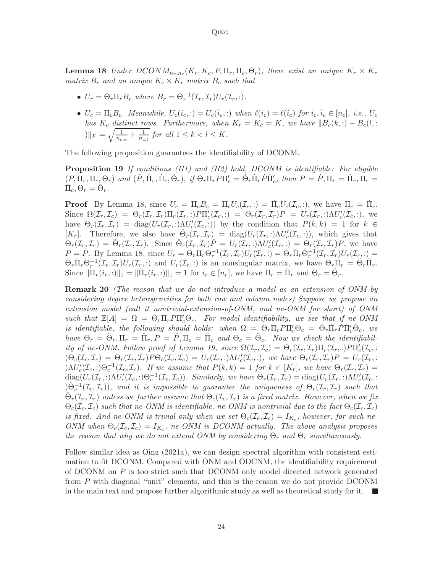**Lemma 18** *Under*  $DCONM_{n_r,n_c}(K_r, K_c, P, \Pi_r, \Pi_c, \Theta_r)$ , there exist an unique  $K_r \times K_r$ *matrix*  $B_r$  *and an unique*  $K_c \times K_r$  *matrix*  $B_c$  *such that* 

- $U_r = \Theta_r \Pi_r B_r$  where  $B_r = \Theta_r^{-1}(\mathcal{I}_r, \mathcal{I}_r) U_r(\mathcal{I}_r, :)$ .
- <span id="page-23-0"></span>•  $U_c = \Pi_c B_c$ . Meanwhile,  $U_c(i_c,:) = U_c(\bar{i}_c,:)$  when  $\ell(i_c) = \ell(\bar{i}_c)$  for  $i_c, \bar{i}_c \in [n_c]$ , i.e.,  $U_c$ *has*  $K_c$  *distinct rows. Furthermore, when*  $K_r = K_c = K$ *, we have*  $||B_c(k,.) - B_c(l,.)||$  $||F| = \sqrt{\frac{1}{n_{c,k}} + \frac{1}{n_{c,l}}}$  for all  $1 \leq k < l \leq K$ .

The following proposition guarantees the identifiability of DCONM.

Proposition 19 *If conditions (II1) and (II2) hold, DCONM is identifiable: For eligible*  $(P, \Pi_r, \Pi_c, \Theta_r)$  and  $(\check{P}, \check{\Pi}_r, \check{\Pi}_c, \check{\Theta}_r)$ , if  $\Theta_r \Pi_r P \Pi_c' = \check{\Theta}_r \check{\Pi}_r \check{P} \check{\Pi}_c'$ , then  $P = \check{P}, \Pi_r = \check{\Pi}_r, \Pi_c = \check{\Pi}_r$  $\check{\Pi}_c, \Theta_r = \check{\Theta}_r.$ 

**Proof** By Lemma [18,](#page-22-2) since  $U_c = \Pi_c B_c = \Pi_c U_c(\mathcal{I}_c, :) = \tilde{\Pi}_c U_c(\mathcal{I}_c, :)$ , we have  $\Pi_c = \tilde{\Pi}_c$ . Since  $\Omega(\mathcal{I}_r, \mathcal{I}_c) = \Theta_r(\mathcal{I}_r, \mathcal{I}_r) \Pi_r(\mathcal{I}_r, :) P \Pi_c'(\mathcal{I}_c, :) = \Theta_r(\mathcal{I}_r, \mathcal{I}_r) P = U_r(\mathcal{I}_r, :) \Lambda U_c'(\mathcal{I}_c, :)$ , we have  $\Theta_r(\mathcal{I}_r, \mathcal{I}_r) = \text{diag}(U_r(\mathcal{I}_r, :)\mathcal{M}_c'(\mathcal{I}_c, :))$  by the condition that  $P(k, k) = 1$  for  $k \in$ [K<sub>r</sub>]. Therefore, we also have  $\mathcal{O}_r(\mathcal{I}_r, \mathcal{I}_r) = \text{diag}(U_r(\mathcal{I}_r, \cdot) \Lambda U_c'(\mathcal{I}_c, \cdot)),$  which gives that  $\Theta_r(\mathcal{I}_{r}, \mathcal{I}_{r}) = \check{\Theta}_r(\mathcal{I}_r, \mathcal{I}_r)$ . Since  $\check{\Theta}_r(\mathcal{I}_r, \mathcal{I}_r)P = U_r(\mathcal{I}_r, \cdot) \Lambda U_c'(\mathcal{I}_c, \cdot) = \Theta_r(\mathcal{I}_r, \mathcal{I}_r)P$ , we have  $P = \check{P}$ . By Lemma [18,](#page-22-2) since  $U_r = \Theta_r \Pi_r \Theta_r^{-1}(\mathcal{I}_r, \mathcal{I}_r) U_r(\mathcal{I}_r, \cdot) = \check{\Theta}_r \check{\Pi}_r \check{\Theta}_r^{-1}(\mathcal{I}_r, \mathcal{I}_r) U_r(\mathcal{I}_r, \cdot) =$  $\check{\Theta}_r \check{\Pi}_r \Theta_r^{-1}(\mathcal{I}_r, \mathcal{I}_r) U_r(\mathcal{I}_r, \cdot)$  and  $U_r(\mathcal{I}_r, \cdot)$  is an nonsingular matrix, we have  $\Theta_r \check{\Pi}_r = \check{\Theta}_r \check{\Pi}_r$ . Since  $\|\Pi_r(i_r,:)\|_1 = \|\check{\Pi}_r(i_r,:)\|_1 = 1$  for  $i_r \in [n_r]$ , we have  $\Pi_r = \check{\Pi}_r$  and  $\Theta_r = \check{\Theta}_r$ .

Remark 20 *(The reason that we do not introduce a model as an extension of ONM by considering degree heterogeneities for both row and column nodes) Suppose we propose an extension model (call it nontrivial-extension-of-ONM, and ne-ONM for short) of ONM such that*  $\mathbb{E}[A] = \Omega = \Theta_r \Pi_r P \Pi_c' \Theta_c$ . For model identifiability, we see that if ne-ONM *is identifiable, the following should holds: when*  $\Omega = \Theta_r \Pi_r P \Pi_c' \Theta_c = \check{\Theta}_r \check{\Pi}_r \check{P} \check{\Pi}_c' \check{\Theta}_c$ , we have  $\Theta_r = \check{\Theta}_r, \Pi_r = \check{\Pi}_r, P = \check{P}, \Pi_c = \check{\Pi}_c$  and  $\Theta_c = \check{\Theta}_c$ . Now we check the identifiabil-*ity of ne-ONM. Follow proof of Lemma [19,](#page-23-0) since*  $\Omega(\mathcal{I}_r, \mathcal{I}_c) = \Theta_r(\mathcal{I}_r, \mathcal{I}_r) \Pi_r(\mathcal{I}_r, :) P \Pi_c'(\mathcal{I}_c, :)$  $\Theta_c(\mathcal{I}_c, \mathcal{I}_c) = \Theta_r(\mathcal{I}_r, \mathcal{I}_r) P \Theta_c(\mathcal{I}_c, \mathcal{I}_c) = U_r(\mathcal{I}_r, :) \Lambda U_c'(\mathcal{I}_c, :)$ , we have  $\Theta_r(\mathcal{I}_r, \mathcal{I}_r) P = U_r(\mathcal{I}_r, :)$  $\Delta D_c'(Z_c, z) \Theta_c^{-1}(Z_c, \mathcal{I}_c)$ . If we assume that  $P(k, k) = 1$  for  $k \in [K_r]$ , we have  $\Theta_r(\mathcal{I}_r, \mathcal{I}_r) =$  $diag(U_r(\mathcal{I}_r, \cdot)\Lambda U_c'(\mathcal{I}_c, \cdot))\Theta_c^{-1}(\mathcal{I}_c, \mathcal{I}_c)).$  Similarly, we have  $\check{\Theta}_r(\mathcal{I}_r, \mathcal{I}_r) = diag(U_r(\mathcal{I}_r, \cdot)\Lambda U_c'(\mathcal{I}_c, \cdot))$  $(\Theta_c^{-1}(\mathcal{I}_c, \mathcal{I}_c))$ , and it is impossible to guarantee the uniqueness of  $\Theta_r(\mathcal{I}_r, \mathcal{I}_r)$  such that  $\check{\Theta}_r(\mathcal{I}_r, \mathcal{I}_r)$  *unless we further assume that*  $\Theta_c(\mathcal{I}_c, \mathcal{I}_c)$  *is a fixed matrix. However, when we fix*  $\Theta_c(\mathcal{I}_c, \mathcal{I}_c)$  *such that ne-ONM is identifiable, ne-ONM is nontrivial due to the fact*  $\Theta_c(\mathcal{I}_c, \mathcal{I}_c)$ *is fixed. And ne-ONM is trivial only when we set*  $\Theta_c(\mathcal{I}_c, \mathcal{I}_c) = I_{K_c}$ , however, for such ne-*ONM* when  $\Theta_c(\mathcal{I}_c, \mathcal{I}_c) = I_{K_c}$ , ne-*ONM* is *DCONM* actually. The above analysis proposes *the reason that why we do not extend ONM by considering*  $\Theta_r$  *and*  $\Theta_c$  *simultaneously.* 

Follow similar idea as [Qing \(2021a](#page-24-14)), we can design spectral algorithm with consistent estimation to fit DCONM. Compared with ONM and ODCNM, the identifiability requirement of DCONM on P is too strict such that DCONM only model directed network generated from P with diagonal "unit" elements, and this is the reason we do not provide DCONM in the main text and propose further algorithmic study as well as theoretical study for it.  $\square$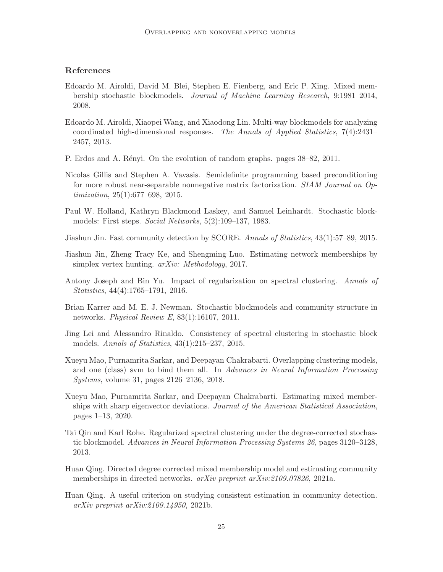# References

- <span id="page-24-2"></span>Edoardo M. Airoldi, David M. Blei, Stephen E. Fienberg, and Eric P. Xing. Mixed membership stochastic blockmodels. *Journal of Machine Learning Research*, 9:1981–2014, 2008.
- <span id="page-24-10"></span>Edoardo M. Airoldi, Xiaopei Wang, and Xiaodong Lin. Multi-way blockmodels for analyzing coordinated high-dimensional responses. *The Annals of Applied Statistics*, 7(4):2431– 2457, 2013.
- <span id="page-24-13"></span>P. Erdos and A. Rényi. On the evolution of random graphs. pages  $38-82$ , 2011.
- <span id="page-24-11"></span>Nicolas Gillis and Stephen A. Vavasis. Semidefinite programming based preconditioning for more robust near-separable nonnegative matrix factorization. *SIAM Journal on Optimization*, 25(1):677–698, 2015.
- <span id="page-24-0"></span>Paul W. Holland, Kathryn Blackmond Laskey, and Samuel Leinhardt. Stochastic blockmodels: First steps. *Social Networks*, 5(2):109–137, 1983.
- <span id="page-24-7"></span>Jiashun Jin. Fast community detection by SCORE. *Annals of Statistics*, 43(1):57–89, 2015.
- <span id="page-24-3"></span>Jiashun Jin, Zheng Tracy Ke, and Shengming Luo. Estimating network memberships by simplex vertex hunting. *arXiv: Methodology*, 2017.
- <span id="page-24-6"></span>Antony Joseph and Bin Yu. Impact of regularization on spectral clustering. *Annals of Statistics*, 44(4):1765–1791, 2016.
- <span id="page-24-1"></span>Brian Karrer and M. E. J. Newman. Stochastic blockmodels and community structure in networks. *Physical Review E*, 83(1):16107, 2011.
- <span id="page-24-5"></span>Jing Lei and Alessandro Rinaldo. Consistency of spectral clustering in stochastic block models. *Annals of Statistics*, 43(1):215–237, 2015.
- <span id="page-24-9"></span>Xueyu Mao, Purnamrita Sarkar, and Deepayan Chakrabarti. Overlapping clustering models, and one (class) svm to bind them all. In *Advances in Neural Information Processing Systems*, volume 31, pages 2126–2136, 2018.
- <span id="page-24-8"></span>Xueyu Mao, Purnamrita Sarkar, and Deepayan Chakrabarti. Estimating mixed memberships with sharp eigenvector deviations. *Journal of the American Statistical Association*, pages 1–13, 2020.
- <span id="page-24-4"></span>Tai Qin and Karl Rohe. Regularized spectral clustering under the degree-corrected stochastic blockmodel. *Advances in Neural Information Processing Systems 26*, pages 3120–3128, 2013.
- <span id="page-24-14"></span>Huan Qing. Directed degree corrected mixed membership model and estimating community memberships in directed networks. *arXiv preprint arXiv:2109.07826*, 2021a.
- <span id="page-24-12"></span>Huan Qing. A useful criterion on studying consistent estimation in community detection. *arXiv preprint arXiv:2109.14950*, 2021b.